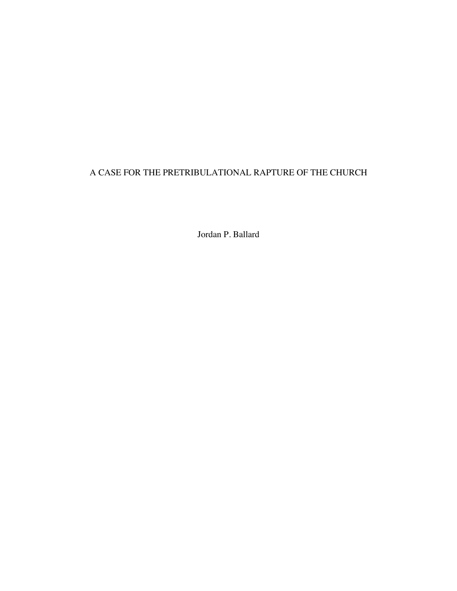# A CASE FOR THE PRETRIBULATIONAL RAPTURE OF THE CHURCH

Jordan P. Ballard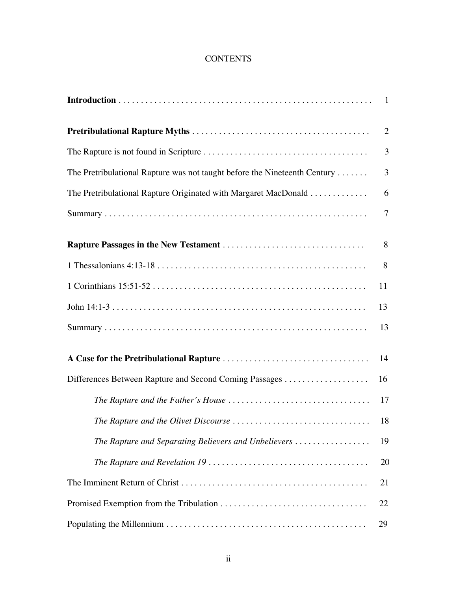# **CONTENTS**

|                                                                           | $\overline{2}$ |
|---------------------------------------------------------------------------|----------------|
|                                                                           | 3              |
| The Pretribulational Rapture was not taught before the Nineteenth Century | 3              |
| The Pretribulational Rapture Originated with Margaret MacDonald           | 6              |
|                                                                           | $\overline{7}$ |
|                                                                           | 8              |
|                                                                           | 8              |
|                                                                           | 11             |
|                                                                           | 13             |
|                                                                           | 13             |
|                                                                           | 14             |
|                                                                           | 16             |
|                                                                           | 17             |
|                                                                           | 18             |
| The Rapture and Separating Believers and Unbelievers                      | 19             |
|                                                                           | 20             |
|                                                                           | 21             |
|                                                                           | 22             |
|                                                                           | 29             |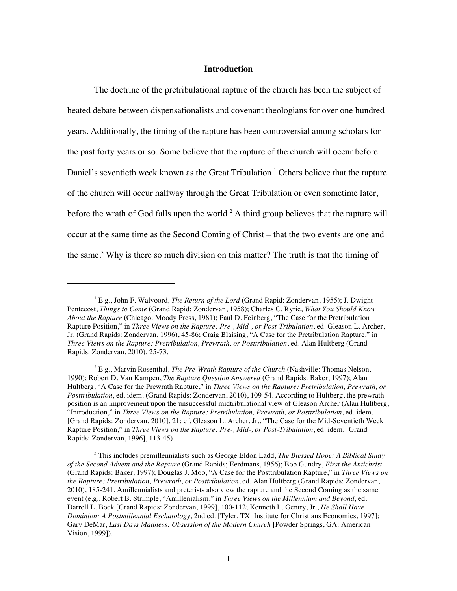### **Introduction**

The doctrine of the pretribulational rapture of the church has been the subject of heated debate between dispensationalists and covenant theologians for over one hundred years. Additionally, the timing of the rapture has been controversial among scholars for the past forty years or so. Some believe that the rapture of the church will occur before Daniel's seventieth week known as the Great Tribulation.<sup>1</sup> Others believe that the rapture of the church will occur halfway through the Great Tribulation or even sometime later, before the wrath of God falls upon the world.<sup>2</sup> A third group believes that the rapture will occur at the same time as the Second Coming of Christ – that the two events are one and the same.<sup>3</sup> Why is there so much division on this matter? The truth is that the timing of

<sup>&</sup>lt;sup>1</sup> E.g., John F. Walvoord, *The Return of the Lord* (Grand Rapid: Zondervan, 1955); J. Dwight Pentecost, *Things to Come* (Grand Rapid: Zondervan, 1958); Charles C. Ryrie, *What You Should Know About the Rapture* (Chicago: Moody Press, 1981); Paul D. Feinberg, "The Case for the Pretribulation Rapture Position," in *Three Views on the Rapture: Pre-, Mid-, or Post-Tribulation*, ed. Gleason L. Archer, Jr. (Grand Rapids: Zondervan, 1996), 45-86; Craig Blaising, "A Case for the Pretribulation Rapture," in *Three Views on the Rapture: Pretribulation, Prewrath, or Posttribulation*, ed. Alan Hultberg (Grand Rapids: Zondervan, 2010), 25-73.

<sup>2</sup> E.g., Marvin Rosenthal, *The Pre-Wrath Rapture of the Church* (Nashville: Thomas Nelson, 1990); Robert D. Van Kampen, *The Rapture Question Answered* (Grand Rapids: Baker, 1997); Alan Hultberg, "A Case for the Prewrath Rapture," in *Three Views on the Rapture: Pretribulation, Prewrath, or Posttribulation*, ed. idem. (Grand Rapids: Zondervan, 2010), 109-54. According to Hultberg, the prewrath position is an improvement upon the unsuccessful midtribulational view of Gleason Archer (Alan Hultberg, "Introduction," in *Three Views on the Rapture: Pretribulation, Prewrath, or Posttribulation*, ed. idem. [Grand Rapids: Zondervan, 2010], 21; cf. Gleason L. Archer, Jr., "The Case for the Mid-Seventieth Week Rapture Position," in *Three Views on the Rapture: Pre-, Mid-, or Post-Tribulation*, ed. idem. [Grand Rapids: Zondervan, 1996], 113-45).

<sup>3</sup> This includes premillennialists such as George Eldon Ladd, *The Blessed Hope: A Biblical Study of the Second Advent and the Rapture* (Grand Rapids; Eerdmans, 1956); Bob Gundry, *First the Antichrist* (Grand Rapids: Baker, 1997); Douglas J. Moo, "A Case for the Posttribulation Rapture," in *Three Views on the Rapture: Pretribulation, Prewrath, or Posttribulation*, ed. Alan Hultberg (Grand Rapids: Zondervan, 2010), 185-241. Amillennialists and preterists also view the rapture and the Second Coming as the same event (e.g., Robert B. Strimple, "Amillenialism," in *Three Views on the Millennium and Beyond*, ed. Darrell L. Bock [Grand Rapids: Zondervan, 1999], 100-112; Kenneth L. Gentry, Jr., *He Shall Have Dominion: A Postmillennial Eschatology*, 2nd ed. [Tyler, TX: Institute for Christians Economics, 1997]; Gary DeMar, *Last Days Madness: Obsession of the Modern Church* [Powder Springs, GA: American Vision, 1999]).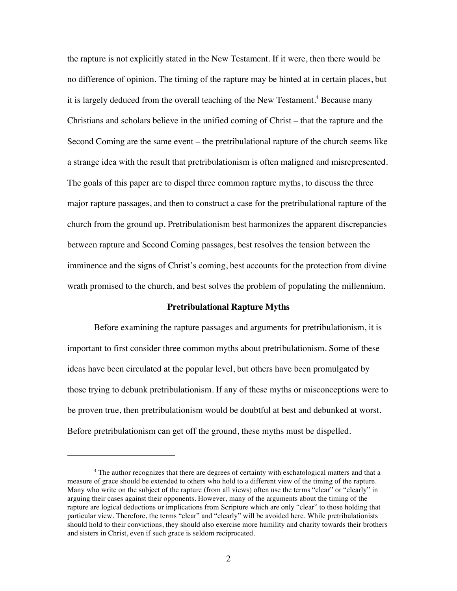the rapture is not explicitly stated in the New Testament. If it were, then there would be no difference of opinion. The timing of the rapture may be hinted at in certain places, but it is largely deduced from the overall teaching of the New Testament.<sup>4</sup> Because many Christians and scholars believe in the unified coming of Christ – that the rapture and the Second Coming are the same event – the pretribulational rapture of the church seems like a strange idea with the result that pretribulationism is often maligned and misrepresented. The goals of this paper are to dispel three common rapture myths, to discuss the three major rapture passages, and then to construct a case for the pretribulational rapture of the church from the ground up. Pretribulationism best harmonizes the apparent discrepancies between rapture and Second Coming passages, best resolves the tension between the imminence and the signs of Christ's coming, best accounts for the protection from divine wrath promised to the church, and best solves the problem of populating the millennium.

### **Pretribulational Rapture Myths**

Before examining the rapture passages and arguments for pretribulationism, it is important to first consider three common myths about pretribulationism. Some of these ideas have been circulated at the popular level, but others have been promulgated by those trying to debunk pretribulationism. If any of these myths or misconceptions were to be proven true, then pretribulationism would be doubtful at best and debunked at worst. Before pretribulationism can get off the ground, these myths must be dispelled.

<sup>&</sup>lt;sup>4</sup> The author recognizes that there are degrees of certainty with eschatological matters and that a measure of grace should be extended to others who hold to a different view of the timing of the rapture. Many who write on the subject of the rapture (from all views) often use the terms "clear" or "clearly" in arguing their cases against their opponents. However, many of the arguments about the timing of the rapture are logical deductions or implications from Scripture which are only "clear" to those holding that particular view. Therefore, the terms "clear" and "clearly" will be avoided here. While pretribulationists should hold to their convictions, they should also exercise more humility and charity towards their brothers and sisters in Christ, even if such grace is seldom reciprocated.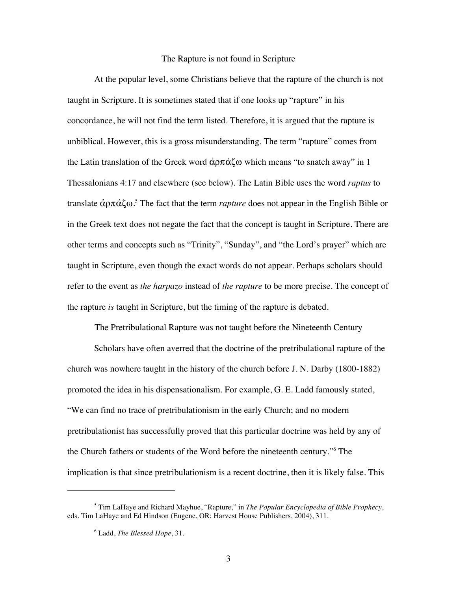### The Rapture is not found in Scripture

At the popular level, some Christians believe that the rapture of the church is not taught in Scripture. It is sometimes stated that if one looks up "rapture" in his concordance, he will not find the term listed. Therefore, it is argued that the rapture is unbiblical. However, this is a gross misunderstanding. The term "rapture" comes from the Latin translation of the Greek word  $\dot{\alpha}$  $\rho \pi \dot{\alpha} \zeta \omega$  which means "to snatch away" in 1 Thessalonians 4:17 and elsewhere (see below). The Latin Bible uses the word *raptus* to translate αρπάζω.<sup>5</sup> The fact that the term *rapture* does not appear in the English Bible or in the Greek text does not negate the fact that the concept is taught in Scripture. There are other terms and concepts such as "Trinity", "Sunday", and "the Lord's prayer" which are taught in Scripture, even though the exact words do not appear. Perhaps scholars should refer to the event as *the harpazo* instead of *the rapture* to be more precise. The concept of the rapture *is* taught in Scripture, but the timing of the rapture is debated.

The Pretribulational Rapture was not taught before the Nineteenth Century

Scholars have often averred that the doctrine of the pretribulational rapture of the church was nowhere taught in the history of the church before J. N. Darby (1800-1882) promoted the idea in his dispensationalism. For example, G. E. Ladd famously stated, "We can find no trace of pretribulationism in the early Church; and no modern pretribulationist has successfully proved that this particular doctrine was held by any of the Church fathers or students of the Word before the nineteenth century."<sup>6</sup> The implication is that since pretribulationism is a recent doctrine, then it is likely false. This

<sup>5</sup> Tim LaHaye and Richard Mayhue, "Rapture," in *The Popular Encyclopedia of Bible Prophecy*, eds. Tim LaHaye and Ed Hindson (Eugene, OR: Harvest House Publishers, 2004), 311.

<sup>6</sup> Ladd, *The Blessed Hope*, 31.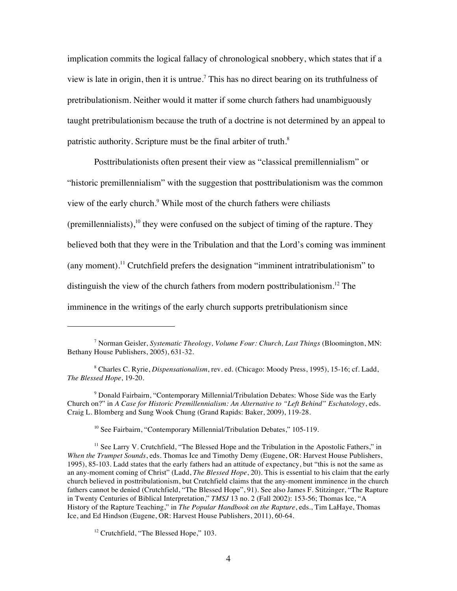implication commits the logical fallacy of chronological snobbery, which states that if a view is late in origin, then it is untrue.<sup>7</sup> This has no direct bearing on its truthfulness of pretribulationism. Neither would it matter if some church fathers had unambiguously taught pretribulationism because the truth of a doctrine is not determined by an appeal to patristic authority. Scripture must be the final arbiter of truth.<sup>8</sup>

Posttribulationists often present their view as "classical premillennialism" or "historic premillennialism" with the suggestion that posttribulationism was the common view of the early church.9 While most of the church fathers were chiliasts (premillennialists), $10$  they were confused on the subject of timing of the rapture. They believed both that they were in the Tribulation and that the Lord's coming was imminent (any moment). 11 Crutchfield prefers the designation "imminent intratribulationism" to distinguish the view of the church fathers from modern posttribulationism.<sup>12</sup> The imminence in the writings of the early church supports pretribulationism since

<sup>9</sup> Donald Fairbairn, "Contemporary Millennial/Tribulation Debates: Whose Side was the Early Church on?" in *A Case for Historic Premillennialism: An Alternative to "Left Behind" Eschatology*, eds. Craig L. Blomberg and Sung Wook Chung (Grand Rapids: Baker, 2009), 119-28.

<sup>10</sup> See Fairbairn, "Contemporary Millennial/Tribulation Debates," 105-119.

<sup>7</sup> Norman Geisler, *Systematic Theology, Volume Four: Church, Last Things* (Bloomington, MN: Bethany House Publishers, 2005), 631-32.

<sup>8</sup> Charles C. Ryrie, *Dispensationalism*, rev. ed. (Chicago: Moody Press, 1995), 15-16; cf. Ladd, *The Blessed Hope*, 19-20.

<sup>&</sup>lt;sup>11</sup> See Larry V. Crutchfield, "The Blessed Hope and the Tribulation in the Apostolic Fathers," in *When the Trumpet Sounds*, eds. Thomas Ice and Timothy Demy (Eugene, OR: Harvest House Publishers, 1995), 85-103. Ladd states that the early fathers had an attitude of expectancy, but "this is not the same as an any-moment coming of Christ" (Ladd, *The Blessed Hope*, 20). This is essential to his claim that the early church believed in posttribulationism, but Crutchfield claims that the any-moment imminence in the church fathers cannot be denied (Crutchfield, "The Blessed Hope", 91). See also James F. Stitzinger, "The Rapture in Twenty Centuries of Biblical Interpretation," *TMSJ* 13 no. 2 (Fall 2002): 153-56; Thomas Ice, "A History of the Rapture Teaching," in *The Popular Handbook on the Rapture*, eds., Tim LaHaye, Thomas Ice, and Ed Hindson (Eugene, OR: Harvest House Publishers, 2011), 60-64.

<sup>&</sup>lt;sup>12</sup> Crutchfield, "The Blessed Hope," 103.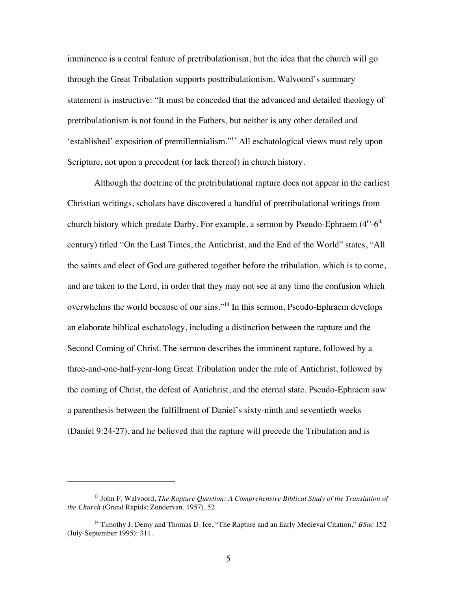imminence is a central feature of pretribulationism, but the idea that the church will go through the Great Tribulation supports posttribulationism. Walvoord's summary statement is instructive: "It must be conceded that the advanced and detailed theology of pretribulationism is not found in the Fathers, but neither is any other detailed and 'established' exposition of premillennialism."13 All eschatological views must rely upon Scripture, not upon a precedent (or lack thereof) in church history.

Although the doctrine of the pretribulational rapture does not appear in the earliest Christian writings, scholars have discovered a handful of pretribulational writings from church history which predate Darby. For example, a sermon by Pseudo-Ephraem  $(4<sup>th</sup>-6<sup>th</sup>$ century) titled "On the Last Times, the Antichrist, and the End of the World" states, "All the saints and elect of God are gathered together before the tribulation, which is to come, and are taken to the Lord, in order that they may not see at any time the confusion which overwhelms the world because of our sins."14 In this sermon, Pseudo-Ephraem develops an elaborate biblical eschatology, including a distinction between the rapture and the Second Coming of Christ. The sermon describes the imminent rapture, followed by a three-and-one-half-year-long Great Tribulation under the rule of Antichrist, followed by the coming of Christ, the defeat of Antichrist, and the eternal state. Pseudo-Ephraem saw a parenthesis between the fulfillment of Daniel's sixty-ninth and seventieth weeks (Daniel 9:24-27), and he believed that the rapture will precede the Tribulation and is

<sup>13</sup> John F. Walvoord, *The Rapture Question: A Comprehensive Biblical Study of the Translation of the Church* (Grand Rapids: Zondervan, 1957), 52.

<sup>&</sup>lt;sup>14</sup> Timothy J. Demy and Thomas D. Ice, "The Rapture and an Early Medieval Citation," *BSac* 152 (July-September 1995): 311.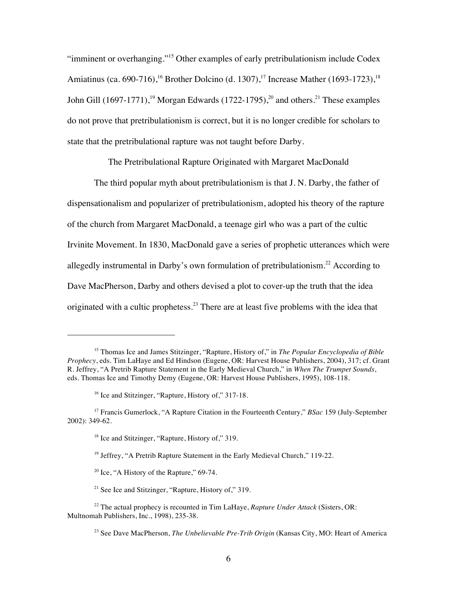"imminent or overhanging."15 Other examples of early pretribulationism include Codex Amiatinus (ca. 690-716),<sup>16</sup> Brother Dolcino (d. 1307),<sup>17</sup> Increase Mather (1693-1723),<sup>18</sup> John Gill  $(1697-1771)$ ,<sup>19</sup> Morgan Edwards  $(1722-1795)$ ,<sup>20</sup> and others.<sup>21</sup> These examples do not prove that pretribulationism is correct, but it is no longer credible for scholars to state that the pretribulational rapture was not taught before Darby.

The Pretribulational Rapture Originated with Margaret MacDonald

The third popular myth about pretribulationism is that J. N. Darby, the father of dispensationalism and popularizer of pretribulationism, adopted his theory of the rapture of the church from Margaret MacDonald, a teenage girl who was a part of the cultic Irvinite Movement. In 1830, MacDonald gave a series of prophetic utterances which were allegedly instrumental in Darby's own formulation of pretribulationism.<sup>22</sup> According to Dave MacPherson, Darby and others devised a plot to cover-up the truth that the idea originated with a cultic prophetess.<sup>23</sup> There are at least five problems with the idea that

<sup>15</sup> Thomas Ice and James Stitzinger, "Rapture, History of," in *The Popular Encyclopedia of Bible Prophecy*, eds. Tim LaHaye and Ed Hindson (Eugene, OR: Harvest House Publishers, 2004), 317; cf. Grant R. Jeffrey, "A Pretrib Rapture Statement in the Early Medieval Church," in *When The Trumpet Sounds*, eds. Thomas Ice and Timothy Demy (Eugene, OR: Harvest House Publishers, 1995), 108-118.

<sup>&</sup>lt;sup>16</sup> Ice and Stitzinger, "Rapture, History of," 317-18.

<sup>17</sup> Francis Gumerlock, "A Rapture Citation in the Fourteenth Century," *BSac* 159 (July-September 2002): 349-62.

<sup>&</sup>lt;sup>18</sup> Ice and Stitzinger, "Rapture, History of," 319.

<sup>&</sup>lt;sup>19</sup> Jeffrey, "A Pretrib Rapture Statement in the Early Medieval Church," 119-22.

 $20$  Ice, "A History of the Rapture," 69-74.

<sup>&</sup>lt;sup>21</sup> See Ice and Stitzinger, "Rapture, History of," 319.

<sup>22</sup> The actual prophecy is recounted in Tim LaHaye, *Rapture Under Attack* (Sisters, OR: Multnomah Publishers, Inc., 1998), 235-38.

<sup>&</sup>lt;sup>23</sup> See Dave MacPherson, *The Unbelievable Pre-Trib Origin* (Kansas City, MO: Heart of America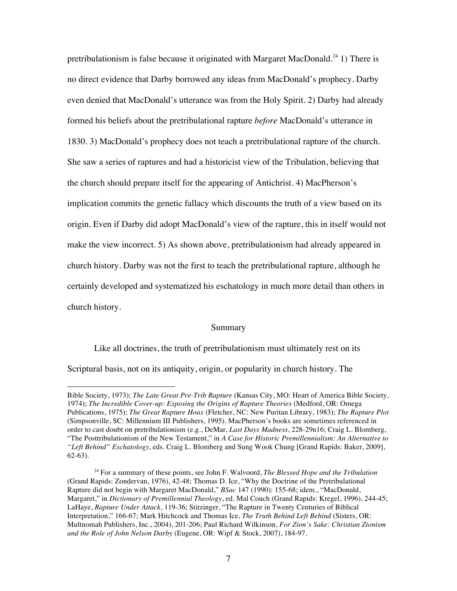pretribulationism is false because it originated with Margaret MacDonald.<sup>24</sup> 1) There is no direct evidence that Darby borrowed any ideas from MacDonald's prophecy. Darby even denied that MacDonald's utterance was from the Holy Spirit. 2) Darby had already formed his beliefs about the pretribulational rapture *before* MacDonald's utterance in 1830. 3) MacDonald's prophecy does not teach a pretribulational rapture of the church. She saw a series of raptures and had a historicist view of the Tribulation, believing that the church should prepare itself for the appearing of Antichrist. 4) MacPherson's implication commits the genetic fallacy which discounts the truth of a view based on its origin. Even if Darby did adopt MacDonald's view of the rapture, this in itself would not make the view incorrect. 5) As shown above, pretribulationism had already appeared in church history. Darby was not the first to teach the pretribulational rapture, although he certainly developed and systematized his eschatology in much more detail than others in church history.

### Summary

Like all doctrines, the truth of pretribulationism must ultimately rest on its Scriptural basis, not on its antiquity, origin, or popularity in church history. The

Bible Society, 1973); *The Late Great Pre-Trib Rapture* (Kansas City, MO: Heart of America Bible Society, 1974); *The Incredible Cover-up: Exposing the Origins of Rapture Theories* (Medford, OR: Omega Publications, 1975); *The Great Rapture Hoax* (Fletcher, NC: New Puritan Library, 1983); *The Rapture Plot* (Simpsonville, SC: Millennium III Publishers, 1995). MacPherson's books are sometimes referenced in order to cast doubt on pretribulationism (e.g., DeMar, *Last Days Madness*, 228-29n16; Craig L. Blomberg, "The Posttribulationism of the New Testament," in *A Case for Historic Premillennialism: An Alternative to "Left Behind" Eschatology*, eds. Craig L. Blomberg and Sung Wook Chung [Grand Rapids: Baker, 2009], 62-63).

<sup>24</sup> For a summary of these points, see John F. Walvoord, *The Blessed Hope and the Tribulation* (Grand Rapids: Zondervan, 1976), 42-48; Thomas D. Ice, "Why the Doctrine of the Pretribulational Rapture did not begin with Margaret MacDonald," *BSac* 147 (1990): 155-68; idem., "MacDonald, Margaret," in *Dictionary of Premillennial Theology*, ed. Mal Couch (Grand Rapids: Kregel, 1996), 244-45; LaHaye, *Rapture Under Attack*, 119-36; Stitzinger, "The Rapture in Twenty Centuries of Biblical Interpretation," 166-67; Mark Hitchcock and Thomas Ice, *The Truth Behind Left Behind* (Sisters, OR: Multnomah Publishers, Inc., 2004), 201-206; Paul Richard Wilkinson, *For Zion's Sake: Christian Zionism and the Role of John Nelson Darby* (Eugene, OR: Wipf & Stock, 2007), 184-97.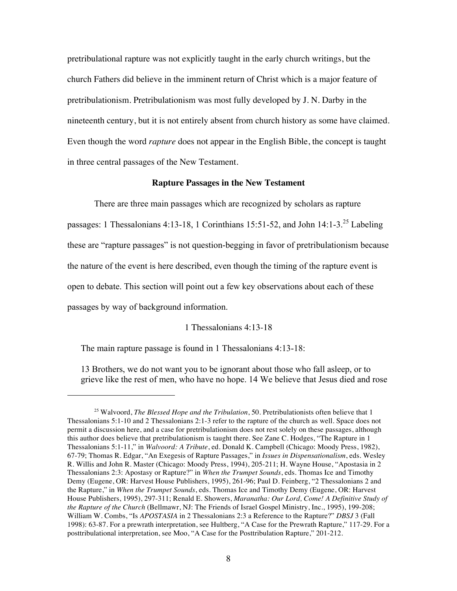pretribulational rapture was not explicitly taught in the early church writings, but the church Fathers did believe in the imminent return of Christ which is a major feature of pretribulationism. Pretribulationism was most fully developed by J. N. Darby in the nineteenth century, but it is not entirely absent from church history as some have claimed. Even though the word *rapture* does not appear in the English Bible, the concept is taught in three central passages of the New Testament.

### **Rapture Passages in the New Testament**

There are three main passages which are recognized by scholars as rapture passages: 1 Thessalonians 4:13-18, 1 Corinthians 15:51-52, and John 14:1-3.<sup>25</sup> Labeling these are "rapture passages" is not question-begging in favor of pretribulationism because the nature of the event is here described, even though the timing of the rapture event is open to debate. This section will point out a few key observations about each of these passages by way of background information.

### 1 Thessalonians 4:13-18

The main rapture passage is found in 1 Thessalonians 4:13-18:

!!!!!!!!!!!!!!!!!!!!!!!!!!!!!!!!!!!!!!!!!!!!!!!!!!!!!!!

13 Brothers, we do not want you to be ignorant about those who fall asleep, or to grieve like the rest of men, who have no hope. 14 We believe that Jesus died and rose

<sup>&</sup>lt;sup>25</sup> Walvoord, *The Blessed Hope and the Tribulation*, 50. Pretribulationists often believe that 1 Thessalonians 5:1-10 and 2 Thessalonians 2:1-3 refer to the rapture of the church as well. Space does not permit a discussion here, and a case for pretribulationism does not rest solely on these passages, although this author does believe that pretribulationism is taught there. See Zane C. Hodges, "The Rapture in 1 Thessalonians 5:1-11," in *Walvoord: A Tribute*, ed. Donald K. Campbell (Chicago: Moody Press, 1982), 67-79; Thomas R. Edgar, "An Exegesis of Rapture Passages," in *Issues in Dispensationalism*, eds. Wesley R. Willis and John R. Master (Chicago: Moody Press, 1994), 205-211; H. Wayne House, "Apostasia in 2 Thessalonians 2:3: Apostasy or Rapture?" in *When the Trumpet Sounds*, eds. Thomas Ice and Timothy Demy (Eugene, OR: Harvest House Publishers, 1995), 261-96; Paul D. Feinberg, "2 Thessalonians 2 and the Rapture," in *When the Trumpet Sounds*, eds. Thomas Ice and Timothy Demy (Eugene, OR: Harvest House Publishers, 1995), 297-311; Renald E. Showers, *Maranatha: Our Lord, Come! A Definitive Study of the Rapture of the Church* (Bellmawr, NJ: The Friends of Israel Gospel Ministry, Inc., 1995), 199-208; William W. Combs, "Is *APOSTASIA* in 2 Thessalonians 2:3 a Reference to the Rapture?" *DBSJ* 3 (Fall 1998): 63-87. For a prewrath interpretation, see Hultberg, "A Case for the Prewrath Rapture," 117-29. For a posttribulational interpretation, see Moo, "A Case for the Posttribulation Rapture," 201-212.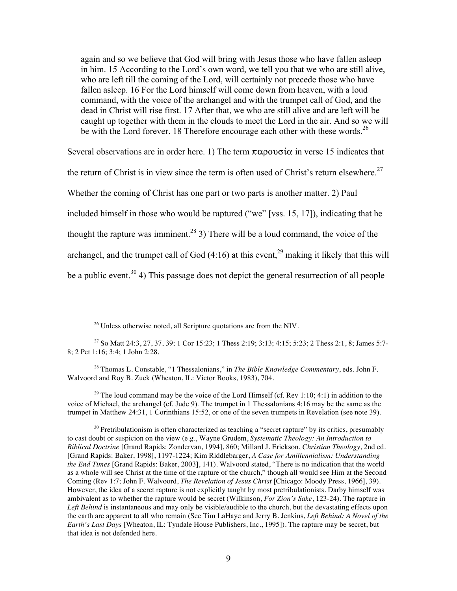again and so we believe that God will bring with Jesus those who have fallen asleep in him. 15 According to the Lord's own word, we tell you that we who are still alive, who are left till the coming of the Lord, will certainly not precede those who have fallen asleep. 16 For the Lord himself will come down from heaven, with a loud command, with the voice of the archangel and with the trumpet call of God, and the dead in Christ will rise first. 17 After that, we who are still alive and are left will be caught up together with them in the clouds to meet the Lord in the air. And so we will be with the Lord forever. 18 Therefore encourage each other with these words.<sup>26</sup>

Several observations are in order here. 1) The term  $\pi\alpha\rho o\nu\sigma i\alpha$  in verse 15 indicates that the return of Christ is in view since the term is often used of Christ's return elsewhere.<sup>27</sup> Whether the coming of Christ has one part or two parts is another matter. 2) Paul included himself in those who would be raptured ("we" [vss. 15, 17]), indicating that he

thought the rapture was imminent.<sup>28</sup> 3) There will be a loud command, the voice of the archangel, and the trumpet call of God  $(4:16)$  at this event,<sup>29</sup> making it likely that this will

be a public event.<sup>30</sup> 4) This passage does not depict the general resurrection of all people

!!!!!!!!!!!!!!!!!!!!!!!!!!!!!!!!!!!!!!!!!!!!!!!!!!!!!!!

28 Thomas L. Constable, "1 Thessalonians," in *The Bible Knowledge Commentary*, eds. John F. Walvoord and Roy B. Zuck (Wheaton, IL: Victor Books, 1983), 704.

<sup>29</sup> The loud command may be the voice of the Lord Himself (cf. Rev 1:10; 4:1) in addition to the voice of Michael, the archangel (cf. Jude 9). The trumpet in 1 Thessalonians 4:16 may be the same as the trumpet in Matthew 24:31, 1 Corinthians 15:52, or one of the seven trumpets in Revelation (see note 39).

 $30$  Pretribulationism is often characterized as teaching a "secret rapture" by its critics, presumably to cast doubt or suspicion on the view (e.g., Wayne Grudem, *Systematic Theology: An Introduction to Biblical Doctrine* [Grand Rapids: Zondervan, 1994], 860; Millard J. Erickson, *Christian Theology*, 2nd ed. [Grand Rapids: Baker, 1998], 1197-1224; Kim Riddlebarger, *A Case for Amillennialism: Understanding the End Times* [Grand Rapids: Baker, 2003], 141). Walvoord stated, "There is no indication that the world as a whole will see Christ at the time of the rapture of the church," though all would see Him at the Second Coming (Rev 1:7; John F. Walvoord, *The Revelation of Jesus Christ* [Chicago: Moody Press, 1966], 39). However, the idea of a secret rapture is not explicitly taught by most pretribulationists. Darby himself was ambivalent as to whether the rapture would be secret (Wilkinson, *For Zion's Sake*, 123-24). The rapture in *Left Behind* is instantaneous and may only be visible/audible to the church, but the devastating effects upon the earth are apparent to all who remain (See Tim LaHaye and Jerry B. Jenkins, *Left Behind: A Novel of the Earth's Last Days* [Wheaton, IL: Tyndale House Publishers, Inc., 1995]). The rapture may be secret, but that idea is not defended here.

 $26$  Unless otherwise noted, all Scripture quotations are from the NIV.

<sup>27</sup> So Matt 24:3, 27, 37, 39; 1 Cor 15:23; 1 Thess 2:19; 3:13; 4:15; 5:23; 2 Thess 2:1, 8; James 5:7- 8; 2 Pet 1:16; 3:4; 1 John 2:28.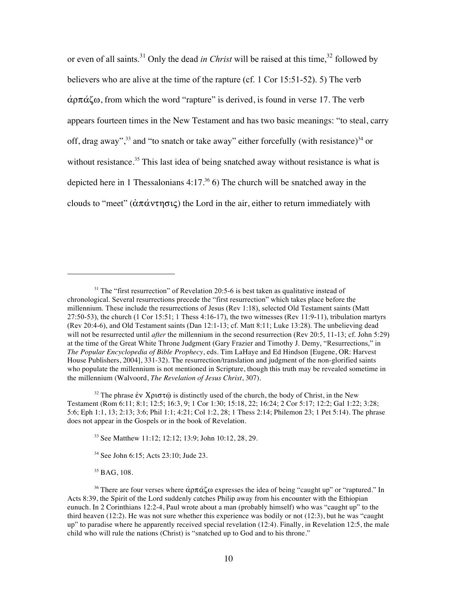or even of all saints.<sup>31</sup> Only the dead *in Christ* will be raised at this time,<sup>32</sup> followed by believers who are alive at the time of the rapture (cf. 1 Cor 15:51-52). 5) The verb  $\alpha$  $\alpha$  $\zeta$  $\alpha$ , from which the word "rapture" is derived, is found in verse 17. The verb appears fourteen times in the New Testament and has two basic meanings: "to steal, carry off, drag away",<sup>33</sup> and "to snatch or take away" either forcefully (with resistance)<sup>34</sup> or without resistance.<sup>35</sup> This last idea of being snatched away without resistance is what is depicted here in 1 Thessalonians 4:17. 36 6) The church will be snatched away in the clouds to "meet" ( $\alpha \pi \alpha v \tau \eta \sigma \iota \varsigma$ ) the Lord in the air, either to return immediately with

- 33 See Matthew 11:12; 12:12; 13:9; John 10:12, 28, 29.
- 34 See John 6:15; Acts 23:10; Jude 23.

<sup>35</sup> BAG, 108.

 $31$  The "first resurrection" of Revelation 20:5-6 is best taken as qualitative instead of chronological. Several resurrections precede the "first resurrection" which takes place before the millennium. These include the resurrections of Jesus (Rev 1:18), selected Old Testament saints (Matt  $27:50-53$ ), the church (1 Cor 15:51; 1 Thess 4:16-17), the two witnesses (Rev 11:9-11), tribulation martyrs (Rev 20:4-6), and Old Testament saints (Dan 12:1-13; cf. Matt 8:11; Luke 13:28). The unbelieving dead will not be resurrected until *after* the millennium in the second resurrection (Rev 20:5, 11-13; cf. John 5:29) at the time of the Great White Throne Judgment (Gary Frazier and Timothy J. Demy, "Resurrections," in *The Popular Encyclopedia of Bible Prophecy*, eds. Tim LaHaye and Ed Hindson [Eugene, OR: Harvest House Publishers, 2004], 331-32). The resurrection/translation and judgment of the non-glorified saints who populate the millennium is not mentioned in Scripture, though this truth may be revealed sometime in the millennium (Walvoord, *The Revelation of Jesus Christ*, 307).

<sup>&</sup>lt;sup>32</sup> The phrase  $\dot{\epsilon}v X\rho\sigma\tau\hat{\omega}$  is distinctly used of the church, the body of Christ, in the New Testament (Rom 6:11; 8:1; 12:5; 16:3, 9; 1 Cor 1:30; 15:18, 22; 16:24; 2 Cor 5:17; 12:2; Gal 1:22; 3:28; 5:6; Eph 1:1, 13; 2:13; 3:6; Phil 1:1; 4:21; Col 1:2, 28; 1 Thess 2:14; Philemon 23; 1 Pet 5:14). The phrase does not appear in the Gospels or in the book of Revelation.

<sup>&</sup>lt;sup>36</sup> There are four verses where  $\dot{\alpha}$  $\rho \pi \dot{\alpha} \zeta \omega$  expresses the idea of being "caught up" or "raptured." In Acts 8:39, the Spirit of the Lord suddenly catches Philip away from his encounter with the Ethiopian eunuch. In 2 Corinthians 12:2-4, Paul wrote about a man (probably himself) who was "caught up" to the third heaven (12:2). He was not sure whether this experience was bodily or not (12:3), but he was "caught up" to paradise where he apparently received special revelation (12:4). Finally, in Revelation 12:5, the male child who will rule the nations (Christ) is "snatched up to God and to his throne."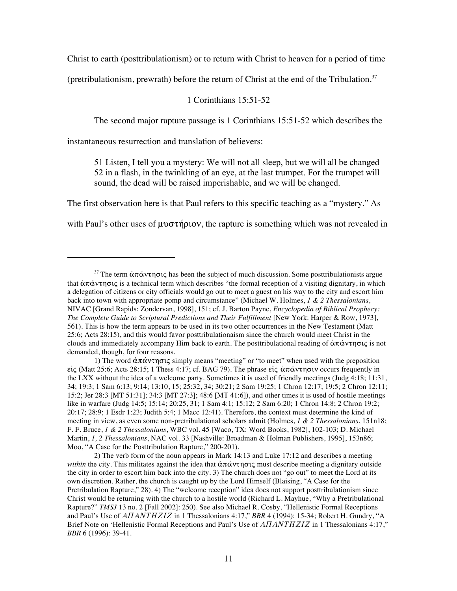Christ to earth (posttribulationism) or to return with Christ to heaven for a period of time

(pretribulationism, prewrath) before the return of Christ at the end of the Tribulation.<sup>37</sup>

### 1 Corinthians 15:51-52

The second major rapture passage is 1 Corinthians 15:51-52 which describes the

instantaneous resurrection and translation of believers:

!!!!!!!!!!!!!!!!!!!!!!!!!!!!!!!!!!!!!!!!!!!!!!!!!!!!!!!

51 Listen, I tell you a mystery: We will not all sleep, but we will all be changed – 52 in a flash, in the twinkling of an eye, at the last trumpet. For the trumpet will sound, the dead will be raised imperishable, and we will be changed.

The first observation here is that Paul refers to this specific teaching as a "mystery." As

with Paul's other uses of  $\mu\nu\sigma\tau\eta\rho\iota\sigma$ , the rapture is something which was not revealed in

1) The word  $\alpha \pi \alpha \nu \tau \eta \sigma \iota \varsigma$  simply means "meeting" or "to meet" when used with the preposition είς (Matt 25:6; Acts 28:15; 1 Thess 4:17; cf. BAG 79). The phrase είς άπάντησιν occurs frequently in the LXX without the idea of a welcome party. Sometimes it is used of friendly meetings (Judg 4:18; 11:31, 34; 19:3; 1 Sam 6:13; 9:14; 13:10, 15; 25:32, 34; 30:21; 2 Sam 19:25; 1 Chron 12:17; 19:5; 2 Chron 12:11; 15:2; Jer 28:3 [MT 51:31]; 34:3 [MT 27:3]; 48:6 [MT 41:6]), and other times it is used of hostile meetings like in warfare (Judg 14:5; 15:14; 20:25, 31; 1 Sam 4:1; 15:12; 2 Sam 6:20; 1 Chron 14:8; 2 Chron 19:2; 20:17; 28:9; 1 Esdr 1:23; Judith 5:4; 1 Macc 12:41). Therefore, the context must determine the kind of meeting in view, as even some non-pretribulational scholars admit (Holmes, *1 & 2 Thessalonians*, 151n18; F. F. Bruce, *1 & 2 Thessalonians*, WBC vol. 45 [Waco, TX: Word Books, 1982], 102-103; D. Michael Martin, *1, 2 Thessalonians*, NAC vol. 33 [Nashville: Broadman & Holman Publishers, 1995], 153n86; Moo, "A Case for the Posttribulation Rapture," 200-201).

2) The verb form of the noun appears in Mark 14:13 and Luke 17:12 and describes a meeting *within* the city. This militates against the idea that  $\hat{\alpha}\pi\hat{\alpha}\nu\tau\eta\sigma\iota\zeta$  must describe meeting a dignitary outside the city in order to escort him back into the city. 3) The church does not "go out" to meet the Lord at its own discretion. Rather, the church is caught up by the Lord Himself (Blaising, "A Case for the Pretribulation Rapture," 28). 4) The "welcome reception" idea does not support posttribulationism since Christ would be returning with the church to a hostile world (Richard L. Mayhue, "Why a Pretribulational Rapture?" *TMSJ* 13 no. 2 [Fall 2002]: 250). See also Michael R. Cosby, "Hellenistic Formal Receptions and Paul's Use of  $AITANTHZIZ$  in 1 Thessalonians 4:17," BBR 4 (1994): 15-34; Robert H. Gundry, "A Brief Note on 'Hellenistic Formal Receptions and Paul's Use of *AITANTHZIZ* in 1 Thessalonians 4:17," *BBR* 6 (1996): 39-41.

<sup>&</sup>lt;sup>37</sup> The term  $\dot{\alpha}\pi\dot{\alpha}v\tau\eta\sigma\iota\zeta$  has been the subject of much discussion. Some posttribulationists argue that  $\alpha\pi\alpha\nu\tau\eta\sigma\iota\varsigma$  is a technical term which describes "the formal reception of a visiting dignitary, in which a delegation of citizens or city officials would go out to meet a guest on his way to the city and escort him back into town with appropriate pomp and circumstance" (Michael W. Holmes, *1 & 2 Thessalonians*, NIVAC [Grand Rapids: Zondervan, 1998], 151; cf. J. Barton Payne, *Encyclopedia of Biblical Prophecy: The Complete Guide to Scriptural Predictions and Their Fulfillment* [New York: Harper & Row, 1973], 561). This is how the term appears to be used in its two other occurrences in the New Testament (Matt 25:6; Acts 28:15), and this would favor posttribulationaism since the church would meet Christ in the clouds and immediately accompany Him back to earth. The posttribulational reading of  $\alpha\pi\alpha v\tau\eta\sigma\iota\varsigma$  is not demanded, though, for four reasons.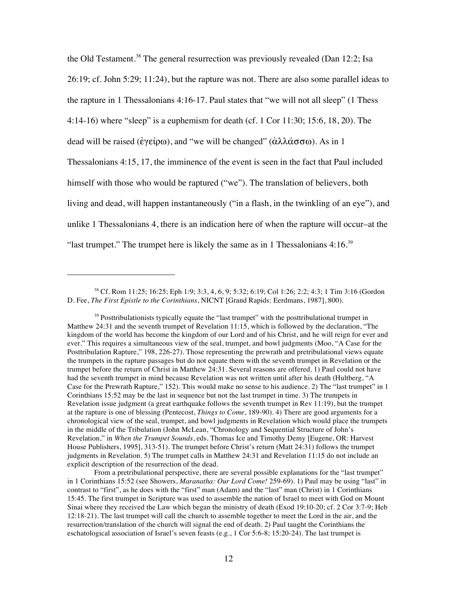the Old Testament.<sup>38</sup> The general resurrection was previously revealed (Dan 12:2; Isa 26:19; cf. John 5:29; 11:24), but the rapture was not. There are also some parallel ideas to the rapture in 1 Thessalonians 4:16-17. Paul states that "we will not all sleep" (1 Thess 4:14-16) where "sleep" is a euphemism for death (cf. 1 Cor 11:30; 15:6, 18, 20). The dead will be raised ( $\epsilon \gamma \epsilon \rho \omega$ ), and "we will be changed" ( $\dot{\alpha} \lambda \lambda \dot{\alpha} \sigma \sigma \omega$ ). As in 1 Thessalonians 4:15, 17, the imminence of the event is seen in the fact that Paul included himself with those who would be raptured ("we"). The translation of believers, both living and dead, will happen instantaneously ("in a flash, in the twinkling of an eye"), and unlike 1 Thessalonians 4, there is an indication here of when the rapture will occur–at the "last trumpet." The trumpet here is likely the same as in 1 Thessalonians  $4:16.^{39}$ 

<sup>38</sup> Cf. Rom 11:25; 16:25; Eph 1:9; 3:3, 4, 6, 9; 5:32; 6:19; Col 1:26; 2:2; 4:3; 1 Tim 3:16 (Gordon D. Fee, *The First Epistle to the Corinthians*, NICNT [Grand Rapids: Eerdmans, 1987], 800).

 $39$  Posttribulationists typically equate the "last trumpet" with the posttribulational trumpet in Matthew 24:31 and the seventh trumpet of Revelation 11:15, which is followed by the declaration, "The kingdom of the world has become the kingdom of our Lord and of his Christ, and he will reign for ever and ever." This requires a simultaneous view of the seal, trumpet, and bowl judgments (Moo, "A Case for the Posttribulation Rapture," 198, 226-27). Those representing the prewrath and pretribulational views equate the trumpets in the rapture passages but do not equate them with the seventh trumpet in Revelation or the trumpet before the return of Christ in Matthew 24:31. Several reasons are offered. 1) Paul could not have had the seventh trumpet in mind because Revelation was not written until after his death (Hultberg, "A Case for the Prewrath Rapture," 152). This would make no sense to his audience. 2) The "last trumpet" in 1 Corinthians 15:52 may be the last in sequence but not the last trumpet in time. 3) The trumpets in Revelation issue judgment (a great earthquake follows the seventh trumpet in Rev 11:19), but the trumpet at the rapture is one of blessing (Pentecost, *Things to Come*, 189-90). 4) There are good arguments for a chronological view of the seal, trumpet, and bowl judgments in Revelation which would place the trumpets in the middle of the Tribulation (John McLean, "Chronology and Sequential Structure of John's Revelation," in *When the Trumpet Sounds*, eds. Thomas Ice and Timothy Demy [Eugene, OR: Harvest House Publishers, 1995], 313-51). The trumpet before Christ's return (Matt 24:31) follows the trumpet judgments in Revelation. 5) The trumpet calls in Matthew 24:31 and Revelation 11:15 do not include an explicit description of the resurrection of the dead.

From a pretribulational perspective, there are several possible explanations for the "last trumpet" in 1 Corinthians 15:52 (see Showers, *Maranatha: Our Lord Come!* 259-69). 1) Paul may be using "last" in contrast to "first", as he does with the "first" man (Adam) and the "last" man (Christ) in 1 Corinthians 15:45. The first trumpet in Scripture was used to assemble the nation of Israel to meet with God on Mount Sinai where they received the Law which began the ministry of death (Exod 19:10-20; cf. 2 Cor 3:7-9; Heb 12:18-21). The last trumpet will call the church to assemble together to meet the Lord in the air, and the resurrection/translation of the church will signal the end of death. 2) Paul taught the Corinthians the eschatological association of Israel's seven feasts (e.g., 1 Cor 5:6-8; 15:20-24). The last trumpet is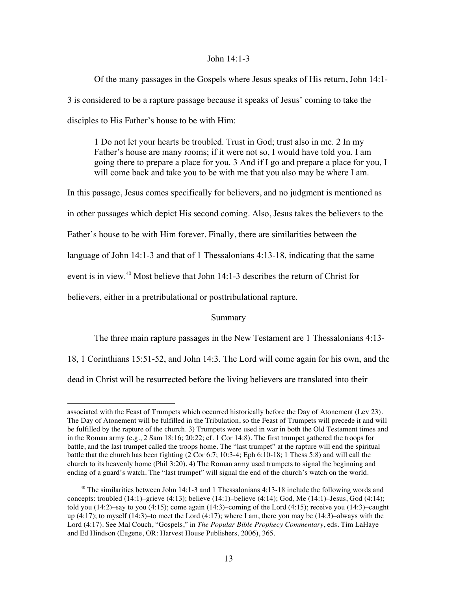### John 14:1-3

Of the many passages in the Gospels where Jesus speaks of His return, John 14:1- 3 is considered to be a rapture passage because it speaks of Jesus' coming to take the disciples to His Father's house to be with Him:

1 Do not let your hearts be troubled. Trust in God; trust also in me. 2 In my Father's house are many rooms; if it were not so, I would have told you. I am going there to prepare a place for you. 3 And if I go and prepare a place for you, I will come back and take you to be with me that you also may be where I am.

In this passage, Jesus comes specifically for believers, and no judgment is mentioned as in other passages which depict His second coming. Also, Jesus takes the believers to the Father's house to be with Him forever. Finally, there are similarities between the language of John 14:1-3 and that of 1 Thessalonians 4:13-18, indicating that the same event is in view.<sup>40</sup> Most believe that John 14:1-3 describes the return of Christ for believers, either in a pretribulational or posttribulational rapture.

### Summary

The three main rapture passages in the New Testament are 1 Thessalonians 4:13-

18, 1 Corinthians 15:51-52, and John 14:3. The Lord will come again for his own, and the

dead in Christ will be resurrected before the living believers are translated into their

associated with the Feast of Trumpets which occurred historically before the Day of Atonement (Lev 23). The Day of Atonement will be fulfilled in the Tribulation, so the Feast of Trumpets will precede it and will be fulfilled by the rapture of the church. 3) Trumpets were used in war in both the Old Testament times and in the Roman army (e.g., 2 Sam 18:16; 20:22; cf. 1 Cor 14:8). The first trumpet gathered the troops for battle, and the last trumpet called the troops home. The "last trumpet" at the rapture will end the spiritual battle that the church has been fighting (2 Cor 6:7; 10:3-4; Eph 6:10-18; 1 Thess 5:8) and will call the church to its heavenly home (Phil 3:20). 4) The Roman army used trumpets to signal the beginning and ending of a guard's watch. The "last trumpet" will signal the end of the church's watch on the world.

<sup>&</sup>lt;sup>40</sup> The similarities between John 14:1-3 and 1 Thessalonians 4:13-18 include the following words and concepts: troubled (14:1)–grieve (4:13); believe (14:1)–believe (4:14); God, Me (14:1)–Jesus, God (4:14); told you  $(14:2)$ –say to you  $(4:15)$ ; come again  $(14:3)$ –coming of the Lord  $(4:15)$ ; receive you  $(14:3)$ –caught up  $(4:17)$ ; to myself  $(14:3)$ –to meet the Lord  $(4:17)$ ; where I am, there you may be  $(14:3)$ –always with the Lord (4:17). See Mal Couch, "Gospels," in *The Popular Bible Prophecy Commentary*, eds. Tim LaHaye and Ed Hindson (Eugene, OR: Harvest House Publishers, 2006), 365.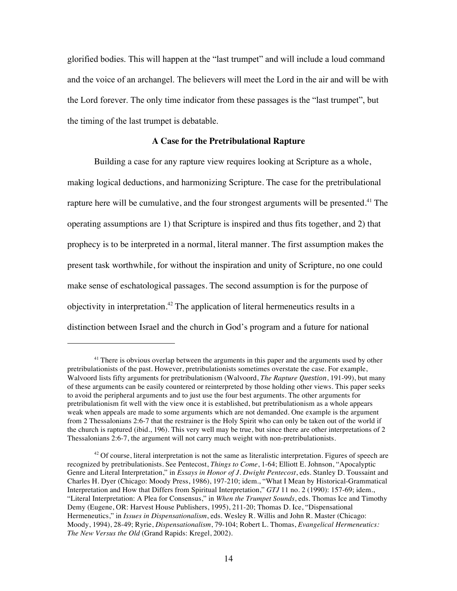glorified bodies. This will happen at the "last trumpet" and will include a loud command and the voice of an archangel. The believers will meet the Lord in the air and will be with the Lord forever. The only time indicator from these passages is the "last trumpet", but the timing of the last trumpet is debatable.

### **A Case for the Pretribulational Rapture**

Building a case for any rapture view requires looking at Scripture as a whole, making logical deductions, and harmonizing Scripture. The case for the pretribulational rapture here will be cumulative, and the four strongest arguments will be presented.<sup>41</sup> The operating assumptions are 1) that Scripture is inspired and thus fits together, and 2) that prophecy is to be interpreted in a normal, literal manner. The first assumption makes the present task worthwhile, for without the inspiration and unity of Scripture, no one could make sense of eschatological passages. The second assumption is for the purpose of objectivity in interpretation.<sup>42</sup> The application of literal hermeneutics results in a distinction between Israel and the church in God's program and a future for national

<sup>&</sup>lt;sup>41</sup> There is obvious overlap between the arguments in this paper and the arguments used by other pretribulationists of the past. However, pretribulationists sometimes overstate the case. For example, Walvoord lists fifty arguments for pretribulationism (Walvoord, *The Rapture Question*, 191-99), but many of these arguments can be easily countered or reinterpreted by those holding other views. This paper seeks to avoid the peripheral arguments and to just use the four best arguments. The other arguments for pretribulationism fit well with the view once it is established, but pretribulationism as a whole appears weak when appeals are made to some arguments which are not demanded. One example is the argument from 2 Thessalonians 2:6-7 that the restrainer is the Holy Spirit who can only be taken out of the world if the church is raptured (ibid., 196). This very well may be true, but since there are other interpretations of 2 Thessalonians 2:6-7, the argument will not carry much weight with non-pretribulationists.

<sup>&</sup>lt;sup>42</sup> Of course, literal interpretation is not the same as literalistic interpretation. Figures of speech are recognized by pretribulationists. See Pentecost, *Things to Come*, 1-64; Elliott E. Johnson, "Apocalyptic Genre and Literal Interpretation," in *Essays in Honor of J. Dwight Pentecost*, eds. Stanley D. Toussaint and Charles H. Dyer (Chicago: Moody Press, 1986), 197-210; idem., "What I Mean by Historical-Grammatical Interpretation and How that Differs from Spiritual Interpretation," *GTJ* 11 no. 2 (1990): 157-69; idem., "Literal Interpretation: A Plea for Consensus," in *When the Trumpet Sounds*, eds. Thomas Ice and Timothy Demy (Eugene, OR: Harvest House Publishers, 1995), 211-20; Thomas D. Ice, "Dispensational Hermeneutics," in *Issues in Dispensationalism*, eds. Wesley R. Willis and John R. Master (Chicago: Moody, 1994), 28-49; Ryrie, *Dispensationalism*, 79-104; Robert L. Thomas, *Evangelical Hermeneutics: The New Versus the Old* (Grand Rapids: Kregel, 2002).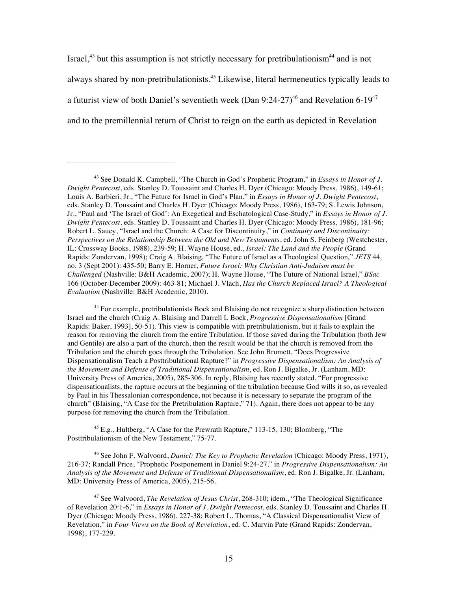Israel,<sup>43</sup> but this assumption is not strictly necessary for pretribulationism<sup>44</sup> and is not always shared by non-pretribulationists.<sup>45</sup> Likewise, literal hermeneutics typically leads to a futurist view of both Daniel's seventieth week (Dan  $9:24-27$ )<sup>46</sup> and Revelation 6-19<sup>47</sup> and to the premillennial return of Christ to reign on the earth as depicted in Revelation

!!!!!!!!!!!!!!!!!!!!!!!!!!!!!!!!!!!!!!!!!!!!!!!!!!!!!!!

<sup>45</sup> E.g., Hultberg, "A Case for the Prewrath Rapture," 113-15, 130; Blomberg, "The Posttribulationism of the New Testament," 75-77.

46 See John F. Walvoord, *Daniel: The Key to Prophetic Revelation* (Chicago: Moody Press, 1971), 216-37; Randall Price, "Prophetic Postponement in Daniel 9:24-27," in *Progressive Dispensationalism: An Analysis of the Movement and Defense of Traditional Dispensationalism*, ed. Ron J. Bigalke, Jr. (Lanham, MD: University Press of America, 2005), 215-56.

47 See Walvoord, *The Revelation of Jesus Christ*, 268-310; idem., "The Theological Significance of Revelation 20:1-6," in *Essays in Honor of J. Dwight Pentecost*, eds. Stanley D. Toussaint and Charles H. Dyer (Chicago: Moody Press, 1986), 227-38; Robert L. Thomas, "A Classical Dispensationalist View of Revelation," in *Four Views on the Book of Revelation*, ed. C. Marvin Pate (Grand Rapids: Zondervan, 1998), 177-229.

<sup>43</sup> See Donald K. Campbell, "The Church in God's Prophetic Program," in *Essays in Honor of J. Dwight Pentecost*, eds. Stanley D. Toussaint and Charles H. Dyer (Chicago: Moody Press, 1986), 149-61; Louis A. Barbieri, Jr., "The Future for Israel in God's Plan," in *Essays in Honor of J. Dwight Pentecost*, eds. Stanley D. Toussaint and Charles H. Dyer (Chicago: Moody Press, 1986), 163-79; S. Lewis Johnson, Jr., "Paul and 'The Israel of God': An Exegetical and Eschatological Case-Study," in *Essays in Honor of J. Dwight Pentecost*, eds. Stanley D. Toussaint and Charles H. Dyer (Chicago: Moody Press, 1986), 181-96; Robert L. Saucy, "Israel and the Church: A Case for Discontinuity," in *Continuity and Discontinuity: Perspectives on the Relationship Between the Old and New Testaments*, ed. John S. Feinberg (Westchester, IL: Crossway Books, 1988), 239-59; H. Wayne House, ed., *Israel: The Land and the People* (Grand Rapids: Zondervan, 1998); Craig A. Blaising, "The Future of Israel as a Theological Question," *JETS* 44, no. 3 (Sept 2001): 435-50; Barry E. Horner, *Future Israel: Why Christian Anti-Judaism must be Challenged* (Nashville: B&H Academic, 2007); H. Wayne House, "The Future of National Israel," *BSac* 166 (October-December 2009): 463-81; Michael J. Vlach, *Has the Church Replaced Israel? A Theological Evaluation* (Nashville: B&H Academic, 2010).

<sup>44</sup> For example, pretribulationists Bock and Blaising do not recognize a sharp distinction between Israel and the church (Craig A. Blaising and Darrell L Bock, *Progressive Dispensationalism* [Grand Rapids: Baker, 1993], 50-51). This view is compatible with pretribulationism, but it fails to explain the reason for removing the church from the entire Tribulation. If those saved during the Tribulation (both Jew and Gentile) are also a part of the church, then the result would be that the church is removed from the Tribulation and the church goes through the Tribulation. See John Brumett, "Does Progressive Dispensationalism Teach a Posttribulational Rapture?" in *Progressive Dispensationalism: An Analysis of the Movement and Defense of Traditional Dispensationalism*, ed. Ron J. Bigalke, Jr. (Lanham, MD: University Press of America, 2005), 285-306. In reply, Blaising has recently stated, "For progressive dispensationalists, the rapture occurs at the beginning of the tribulation because God wills it so, as revealed by Paul in his Thessalonian correspondence, not because it is necessary to separate the program of the church" (Blaising, "A Case for the Pretribulation Rapture," 71). Again, there does not appear to be any purpose for removing the church from the Tribulation.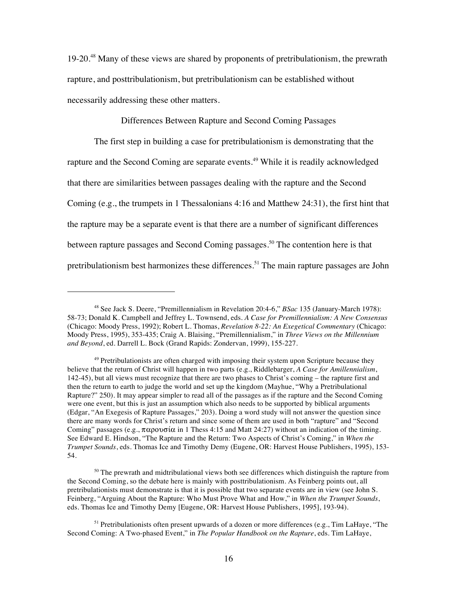19-20.<sup>48</sup> Many of these views are shared by proponents of pretribulationism, the prewrath rapture, and posttribulationism, but pretribulationism can be established without necessarily addressing these other matters.

Differences Between Rapture and Second Coming Passages

The first step in building a case for pretribulationism is demonstrating that the rapture and the Second Coming are separate events.<sup>49</sup> While it is readily acknowledged that there are similarities between passages dealing with the rapture and the Second Coming (e.g., the trumpets in 1 Thessalonians 4:16 and Matthew 24:31), the first hint that the rapture may be a separate event is that there are a number of significant differences between rapture passages and Second Coming passages.<sup>50</sup> The contention here is that pretribulationism best harmonizes these differences.<sup>51</sup> The main rapture passages are John

<sup>48</sup> See Jack S. Deere, "Premillennialism in Revelation 20:4-6," *BSac* 135 (January-March 1978): 58-73; Donald K. Campbell and Jeffrey L. Townsend, eds. *A Case for Premillennialism: A New Consensus* (Chicago: Moody Press, 1992); Robert L. Thomas, *Revelation 8-22: An Exegetical Commentary* (Chicago: Moody Press, 1995), 353-435; Craig A. Blaising, "Premillennialism," in *Three Views on the Millennium and Beyond*, ed. Darrell L. Bock (Grand Rapids: Zondervan, 1999), 155-227.

 $49$  Pretribulationists are often charged with imposing their system upon Scripture because they believe that the return of Christ will happen in two parts (e.g., Riddlebarger, *A Case for Amillennialism*, 142-45), but all views must recognize that there are two phases to Christ's coming – the rapture first and then the return to earth to judge the world and set up the kingdom (Mayhue, "Why a Pretribulational Rapture?" 250). It may appear simpler to read all of the passages as if the rapture and the Second Coming were one event, but this is just an assumption which also needs to be supported by biblical arguments (Edgar, "An Exegesis of Rapture Passages," 203). Doing a word study will not answer the question since there are many words for Christ's return and since some of them are used in both "rapture" and "Second Coming" passages (e.g.,  $\pi \alpha \rho \partial \sigma \alpha$  in 1 Thess 4:15 and Matt 24:27) without an indication of the timing. See Edward E. Hindson, "The Rapture and the Return: Two Aspects of Christ's Coming," in *When the Trumpet Sounds*, eds. Thomas Ice and Timothy Demy (Eugene, OR: Harvest House Publishers, 1995), 153- 54.

 $50$  The prewrath and midtribulational views both see differences which distinguish the rapture from the Second Coming, so the debate here is mainly with posttribulationism. As Feinberg points out, all pretribulationists must demonstrate is that it is possible that two separate events are in view (see John S. Feinberg, "Arguing About the Rapture: Who Must Prove What and How," in *When the Trumpet Sounds*, eds. Thomas Ice and Timothy Demy [Eugene, OR: Harvest House Publishers, 1995], 193-94).

<sup>&</sup>lt;sup>51</sup> Pretribulationists often present upwards of a dozen or more differences (e.g., Tim LaHaye, "The Second Coming: A Two-phased Event," in *The Popular Handbook on the Rapture*, eds. Tim LaHaye,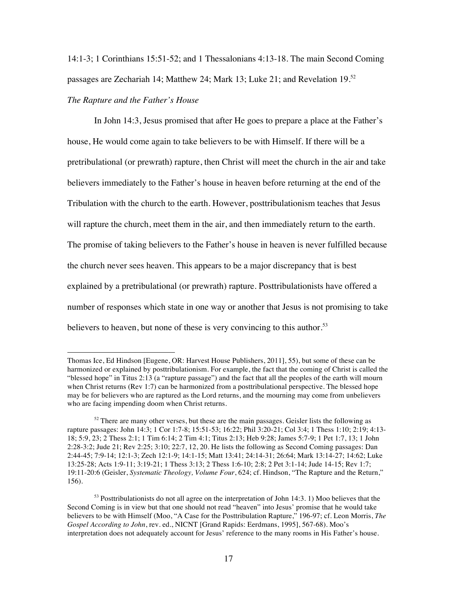14:1-3; 1 Corinthians 15:51-52; and 1 Thessalonians 4:13-18. The main Second Coming passages are Zechariah 14; Matthew 24; Mark 13; Luke 21; and Revelation 19.<sup>52</sup>

## *The Rapture and the Father's House*

!!!!!!!!!!!!!!!!!!!!!!!!!!!!!!!!!!!!!!!!!!!!!!!!!!!!!!!

In John 14:3, Jesus promised that after He goes to prepare a place at the Father's house, He would come again to take believers to be with Himself. If there will be a pretribulational (or prewrath) rapture, then Christ will meet the church in the air and take believers immediately to the Father's house in heaven before returning at the end of the Tribulation with the church to the earth. However, posttribulationism teaches that Jesus will rapture the church, meet them in the air, and then immediately return to the earth. The promise of taking believers to the Father's house in heaven is never fulfilled because the church never sees heaven. This appears to be a major discrepancy that is best explained by a pretribulational (or prewrath) rapture. Posttribulationists have offered a number of responses which state in one way or another that Jesus is not promising to take believers to heaven, but none of these is very convincing to this author.<sup>53</sup>

Thomas Ice, Ed Hindson [Eugene, OR: Harvest House Publishers, 2011], 55), but some of these can be harmonized or explained by posttribulationism. For example, the fact that the coming of Christ is called the "blessed hope" in Titus 2:13 (a "rapture passage") and the fact that all the peoples of the earth will mourn when Christ returns (Rev 1:7) can be harmonized from a posttribulational perspective. The blessed hope may be for believers who are raptured as the Lord returns, and the mourning may come from unbelievers who are facing impending doom when Christ returns.

 $52$  There are many other verses, but these are the main passages. Geisler lists the following as rapture passages: John 14:3; 1 Cor 1:7-8; 15:51-53; 16:22; Phil 3:20-21; Col 3:4; 1 Thess 1:10; 2:19; 4:13- 18; 5:9, 23; 2 Thess 2:1; 1 Tim 6:14; 2 Tim 4:1; Titus 2:13; Heb 9:28; James 5:7-9; 1 Pet 1:7, 13; 1 John 2:28-3:2; Jude 21; Rev 2:25; 3:10; 22:7, 12, 20. He lists the following as Second Coming passages: Dan 2:44-45; 7:9-14; 12:1-3; Zech 12:1-9; 14:1-15; Matt 13:41; 24:14-31; 26:64; Mark 13:14-27; 14:62; Luke 13:25-28; Acts 1:9-11; 3:19-21; 1 Thess 3:13; 2 Thess 1:6-10; 2:8; 2 Pet 3:1-14; Jude 14-15; Rev 1:7; 19:11-20:6 (Geisler, *Systematic Theology, Volume Four*, 624; cf. Hindson, "The Rapture and the Return," 156).

 $53$  Posttribulationists do not all agree on the interpretation of John 14:3. 1) Moo believes that the Second Coming is in view but that one should not read "heaven" into Jesus' promise that he would take believers to be with Himself (Moo, "A Case for the Posttribulation Rapture," 196-97; cf. Leon Morris, *The Gospel According to John*, rev. ed., NICNT [Grand Rapids: Eerdmans, 1995], 567-68). Moo's interpretation does not adequately account for Jesus' reference to the many rooms in His Father's house.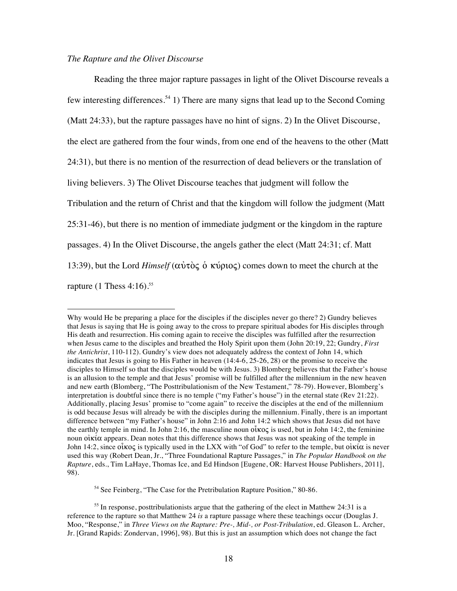### *The Rapture and the Olivet Discourse*

!!!!!!!!!!!!!!!!!!!!!!!!!!!!!!!!!!!!!!!!!!!!!!!!!!!!!!!

Reading the three major rapture passages in light of the Olivet Discourse reveals a few interesting differences.<sup>54</sup> 1) There are many signs that lead up to the Second Coming (Matt 24:33), but the rapture passages have no hint of signs. 2) In the Olivet Discourse, the elect are gathered from the four winds, from one end of the heavens to the other (Matt 24:31), but there is no mention of the resurrection of dead believers or the translation of living believers. 3) The Olivet Discourse teaches that judgment will follow the Tribulation and the return of Christ and that the kingdom will follow the judgment (Matt 25:31-46), but there is no mention of immediate judgment or the kingdom in the rapture passages. 4) In the Olivet Discourse, the angels gather the elect (Matt 24:31; cf. Matt 13:39), but the Lord *Himself* ( $\alpha\dot{\alpha}\dot{\alpha}\dot{\alpha}$ ) comes down to meet the church at the rapture  $(1 \text{ Thesis } 4:16)^{55}$ 

<sup>54</sup> See Feinberg, "The Case for the Pretribulation Rapture Position," 80-86.

Why would He be preparing a place for the disciples if the disciples never go there? 2) Gundry believes that Jesus is saying that He is going away to the cross to prepare spiritual abodes for His disciples through His death and resurrection. His coming again to receive the disciples was fulfilled after the resurrection when Jesus came to the disciples and breathed the Holy Spirit upon them (John 20:19, 22; Gundry, *First the Antichrist*, 110-112). Gundry's view does not adequately address the context of John 14, which indicates that Jesus is going to His Father in heaven (14:4-6, 25-26, 28) or the promise to receive the disciples to Himself so that the disciples would be with Jesus. 3) Blomberg believes that the Father's house is an allusion to the temple and that Jesus' promise will be fulfilled after the millennium in the new heaven and new earth (Blomberg, "The Posttribulationism of the New Testament," 78-79). However, Blomberg's interpretation is doubtful since there is no temple ("my Father's house") in the eternal state (Rev 21:22). Additionally, placing Jesus' promise to "come again" to receive the disciples at the end of the millennium is odd because Jesus will already be with the disciples during the millennium. Finally, there is an important difference between "my Father's house" in John 2:16 and John 14:2 which shows that Jesus did not have the earthly temple in mind. In John 2:16, the masculine noun  $\alpha \times \alpha$  is used, but in John 14:2, the feminine noun  $\vec{\text{ok}}\alpha$  appears. Dean notes that this difference shows that Jesus was not speaking of the temple in John 14:2, since  $\alpha$  is typically used in the LXX with "of God" to refer to the temple, but oi $\kappa \alpha$  is never used this way (Robert Dean, Jr., "Three Foundational Rapture Passages," in *The Popular Handbook on the Rapture*, eds., Tim LaHaye, Thomas Ice, and Ed Hindson [Eugene, OR: Harvest House Publishers, 2011], 98).

 $55$  In response, posttribulationists argue that the gathering of the elect in Matthew 24:31 is a reference to the rapture so that Matthew 24 *is* a rapture passage where these teachings occur (Douglas J. Moo, "Response," in *Three Views on the Rapture: Pre-, Mid-, or Post-Tribulation*, ed. Gleason L. Archer, Jr. [Grand Rapids: Zondervan, 1996], 98). But this is just an assumption which does not change the fact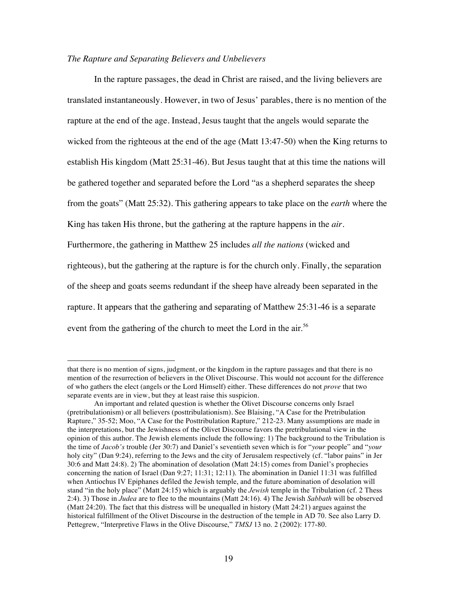### *The Rapture and Separating Believers and Unbelievers*

!!!!!!!!!!!!!!!!!!!!!!!!!!!!!!!!!!!!!!!!!!!!!!!!!!!!!!!

In the rapture passages, the dead in Christ are raised, and the living believers are translated instantaneously. However, in two of Jesus' parables, there is no mention of the rapture at the end of the age. Instead, Jesus taught that the angels would separate the wicked from the righteous at the end of the age (Matt 13:47-50) when the King returns to establish His kingdom (Matt 25:31-46). But Jesus taught that at this time the nations will be gathered together and separated before the Lord "as a shepherd separates the sheep from the goats" (Matt 25:32). This gathering appears to take place on the *earth* where the King has taken His throne, but the gathering at the rapture happens in the *air*. Furthermore, the gathering in Matthew 25 includes *all the nations* (wicked and righteous), but the gathering at the rapture is for the church only. Finally, the separation of the sheep and goats seems redundant if the sheep have already been separated in the rapture. It appears that the gathering and separating of Matthew 25:31-46 is a separate event from the gathering of the church to meet the Lord in the air.<sup>56</sup>

that there is no mention of signs, judgment, or the kingdom in the rapture passages and that there is no mention of the resurrection of believers in the Olivet Discourse. This would not account for the difference of who gathers the elect (angels or the Lord Himself) either. These differences do not *prove* that two separate events are in view, but they at least raise this suspicion.

An important and related question is whether the Olivet Discourse concerns only Israel (pretribulationism) or all believers (posttribulationism). See Blaising, "A Case for the Pretribulation Rapture," 35-52; Moo, "A Case for the Posttribulation Rapture," 212-23. Many assumptions are made in the interpretations, but the Jewishness of the Olivet Discourse favors the pretribulational view in the opinion of this author. The Jewish elements include the following: 1) The background to the Tribulation is the time of *Jacob's* trouble (Jer 30:7) and Daniel's seventieth seven which is for "*your* people" and "*your* holy city" (Dan 9:24), referring to the Jews and the city of Jerusalem respectively (cf. "labor pains" in Jer 30:6 and Matt 24:8). 2) The abomination of desolation (Matt 24:15) comes from Daniel's prophecies concerning the nation of Israel (Dan 9:27; 11:31; 12:11). The abomination in Daniel 11:31 was fulfilled when Antiochus IV Epiphanes defiled the Jewish temple, and the future abomination of desolation will stand "in the holy place" (Matt 24:15) which is arguably the *Jewish* temple in the Tribulation (cf. 2 Thess 2:4). 3) Those in *Judea* are to flee to the mountains (Matt 24:16). 4) The Jewish *Sabbath* will be observed (Matt 24:20). The fact that this distress will be unequalled in history (Matt 24:21) argues against the historical fulfillment of the Olivet Discourse in the destruction of the temple in AD 70. See also Larry D. Pettegrew, "Interpretive Flaws in the Olive Discourse," *TMSJ* 13 no. 2 (2002): 177-80.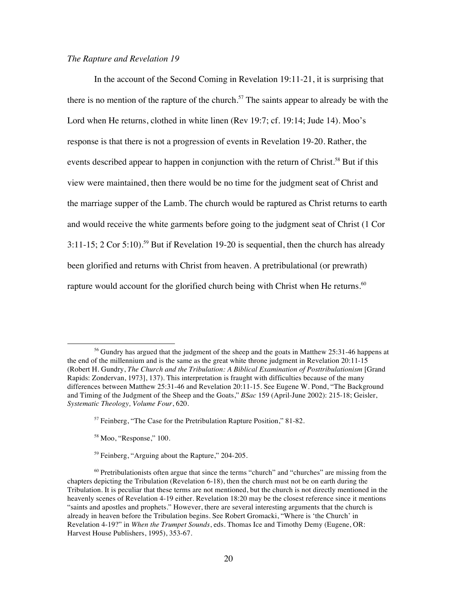## *The Rapture and Revelation 19*

In the account of the Second Coming in Revelation 19:11-21, it is surprising that there is no mention of the rapture of the church. 57 The saints appear to already be with the Lord when He returns, clothed in white linen (Rev 19:7; cf. 19:14; Jude 14). Moo's response is that there is not a progression of events in Revelation 19-20. Rather, the events described appear to happen in conjunction with the return of Christ.<sup>58</sup> But if this view were maintained, then there would be no time for the judgment seat of Christ and the marriage supper of the Lamb. The church would be raptured as Christ returns to earth and would receive the white garments before going to the judgment seat of Christ (1 Cor 3:11-15; 2 Cor 5:10).<sup>59</sup> But if Revelation 19-20 is sequential, then the church has already been glorified and returns with Christ from heaven. A pretribulational (or prewrath) rapture would account for the glorified church being with Christ when He returns.<sup>60</sup>

<sup>58</sup> Moo, "Response," 100.

!!!!!!!!!!!!!!!!!!!!!!!!!!!!!!!!!!!!!!!!!!!!!!!!!!!!!!!

<sup>59</sup> Feinberg, "Arguing about the Rapture," 204-205.

<sup>&</sup>lt;sup>56</sup> Gundry has argued that the judgment of the sheep and the goats in Matthew 25:31-46 happens at the end of the millennium and is the same as the great white throne judgment in Revelation 20:11-15 (Robert H. Gundry, *The Church and the Tribulation: A Biblical Examination of Posttribulationism* [Grand Rapids: Zondervan, 1973], 137). This interpretation is fraught with difficulties because of the many differences between Matthew 25:31-46 and Revelation 20:11-15. See Eugene W. Pond, "The Background and Timing of the Judgment of the Sheep and the Goats," *BSac* 159 (April-June 2002): 215-18; Geisler, *Systematic Theology, Volume Four*, 620.

<sup>57</sup> Feinberg, "The Case for the Pretribulation Rapture Position," 81-82.

 $60$  Pretribulationists often argue that since the terms "church" and "churches" are missing from the chapters depicting the Tribulation (Revelation 6-18), then the church must not be on earth during the Tribulation. It is peculiar that these terms are not mentioned, but the church is not directly mentioned in the heavenly scenes of Revelation 4-19 either. Revelation 18:20 may be the closest reference since it mentions "saints and apostles and prophets." However, there are several interesting arguments that the church is already in heaven before the Tribulation begins. See Robert Gromacki, "Where is 'the Church' in Revelation 4-19?" in *When the Trumpet Sounds*, eds. Thomas Ice and Timothy Demy (Eugene, OR: Harvest House Publishers, 1995), 353-67.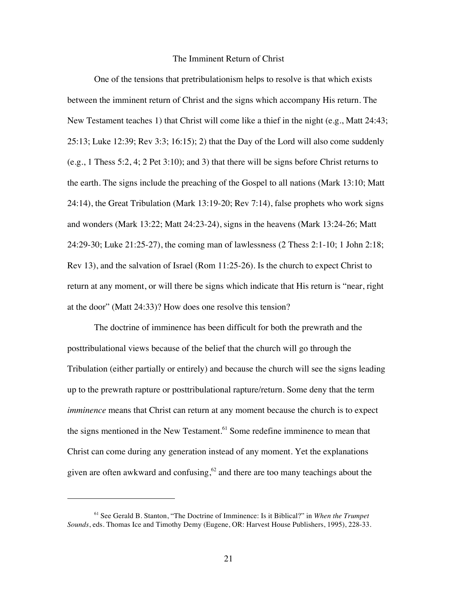### The Imminent Return of Christ

One of the tensions that pretribulationism helps to resolve is that which exists between the imminent return of Christ and the signs which accompany His return. The New Testament teaches 1) that Christ will come like a thief in the night (e.g., Matt 24:43; 25:13; Luke 12:39; Rev 3:3; 16:15); 2) that the Day of the Lord will also come suddenly (e.g., 1 Thess 5:2, 4; 2 Pet 3:10); and 3) that there will be signs before Christ returns to the earth. The signs include the preaching of the Gospel to all nations (Mark 13:10; Matt 24:14), the Great Tribulation (Mark 13:19-20; Rev 7:14), false prophets who work signs and wonders (Mark 13:22; Matt 24:23-24), signs in the heavens (Mark 13:24-26; Matt 24:29-30; Luke 21:25-27), the coming man of lawlessness (2 Thess 2:1-10; 1 John 2:18; Rev 13), and the salvation of Israel (Rom 11:25-26). Is the church to expect Christ to return at any moment, or will there be signs which indicate that His return is "near, right at the door" (Matt 24:33)? How does one resolve this tension?

The doctrine of imminence has been difficult for both the prewrath and the posttribulational views because of the belief that the church will go through the Tribulation (either partially or entirely) and because the church will see the signs leading up to the prewrath rapture or posttribulational rapture/return. Some deny that the term *imminence* means that Christ can return at any moment because the church is to expect the signs mentioned in the New Testament.<sup>61</sup> Some redefine imminence to mean that Christ can come during any generation instead of any moment. Yet the explanations given are often awkward and confusing, $62$  and there are too many teachings about the

<sup>61</sup> See Gerald B. Stanton, "The Doctrine of Imminence: Is it Biblical?" in *When the Trumpet Sounds*, eds. Thomas Ice and Timothy Demy (Eugene, OR: Harvest House Publishers, 1995), 228-33.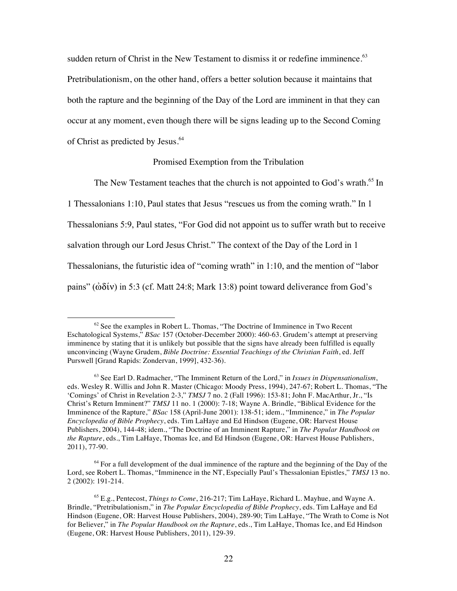sudden return of Christ in the New Testament to dismiss it or redefine imminence.<sup>63</sup> Pretribulationism, on the other hand, offers a better solution because it maintains that both the rapture and the beginning of the Day of the Lord are imminent in that they can occur at any moment, even though there will be signs leading up to the Second Coming of Christ as predicted by Jesus.<sup>64</sup>

### Promised Exemption from the Tribulation

The New Testament teaches that the church is not appointed to God's wrath.<sup>65</sup> In

1 Thessalonians 1:10, Paul states that Jesus "rescues us from the coming wrath." In 1 Thessalonians 5:9, Paul states, "For God did not appoint us to suffer wrath but to receive salvation through our Lord Jesus Christ." The context of the Day of the Lord in 1 Thessalonians, the futuristic idea of "coming wrath" in 1:10, and the mention of "labor pains" ( $\dot{\omega}\delta\acute{\nu}$ ) in 5:3 (cf. Matt 24:8; Mark 13:8) point toward deliverance from God's

 $62$  See the examples in Robert L. Thomas, "The Doctrine of Imminence in Two Recent Eschatological Systems," *BSac* 157 (October-December 2000): 460-63. Grudem's attempt at preserving imminence by stating that it is unlikely but possible that the signs have already been fulfilled is equally unconvincing (Wayne Grudem, *Bible Doctrine: Essential Teachings of the Christian Faith*, ed. Jeff Purswell [Grand Rapids: Zondervan, 1999], 432-36).

<sup>63</sup> See Earl D. Radmacher, "The Imminent Return of the Lord," in *Issues in Dispensationalism*, eds. Wesley R. Willis and John R. Master (Chicago: Moody Press, 1994), 247-67; Robert L. Thomas, "The 'Comings' of Christ in Revelation 2-3," *TMSJ* 7 no. 2 (Fall 1996): 153-81; John F. MacArthur, Jr., "Is Christ's Return Imminent?" *TMSJ* 11 no. 1 (2000): 7-18; Wayne A. Brindle, "Biblical Evidence for the Imminence of the Rapture," *BSac* 158 (April-June 2001): 138-51; idem., "Imminence," in *The Popular Encyclopedia of Bible Prophecy*, eds. Tim LaHaye and Ed Hindson (Eugene, OR: Harvest House Publishers, 2004), 144-48; idem., "The Doctrine of an Imminent Rapture," in *The Popular Handbook on the Rapture*, eds., Tim LaHaye, Thomas Ice, and Ed Hindson (Eugene, OR: Harvest House Publishers, 2011), 77-90.

<sup>&</sup>lt;sup>64</sup> For a full development of the dual imminence of the rapture and the beginning of the Day of the Lord, see Robert L. Thomas, "Imminence in the NT, Especially Paul's Thessalonian Epistles," *TMSJ* 13 no. 2 (2002): 191-214.

<sup>65</sup> E.g., Pentecost, *Things to Come*, 216-217; Tim LaHaye, Richard L. Mayhue, and Wayne A. Brindle, "Pretribulationism," in *The Popular Encyclopedia of Bible Prophecy*, eds. Tim LaHaye and Ed Hindson (Eugene, OR: Harvest House Publishers, 2004), 289-90; Tim LaHaye, "The Wrath to Come is Not for Believer," in *The Popular Handbook on the Rapture*, eds., Tim LaHaye, Thomas Ice, and Ed Hindson (Eugene, OR: Harvest House Publishers, 2011), 129-39.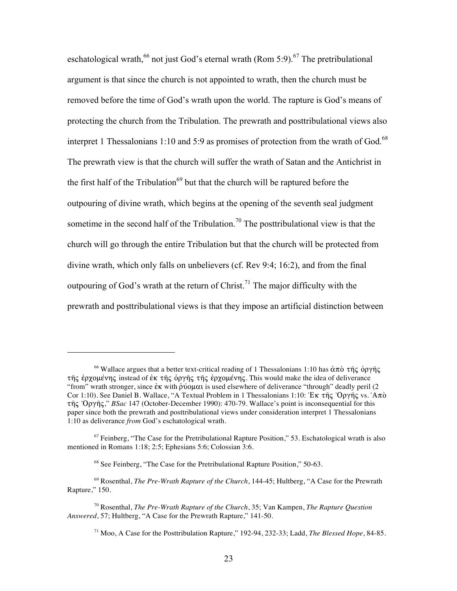eschatological wrath,<sup>66</sup> not just God's eternal wrath (Rom 5:9).<sup>67</sup> The pretribulational argument is that since the church is not appointed to wrath, then the church must be removed before the time of God's wrath upon the world. The rapture is God's means of protecting the church from the Tribulation. The prewrath and posttribulational views also interpret 1 Thessalonians 1:10 and 5:9 as promises of protection from the wrath of God.<sup>68</sup> The prewrath view is that the church will suffer the wrath of Satan and the Antichrist in the first half of the Tribulation<sup>69</sup> but that the church will be raptured before the outpouring of divine wrath, which begins at the opening of the seventh seal judgment sometime in the second half of the Tribulation.<sup>70</sup> The posttribulational view is that the church will go through the entire Tribulation but that the church will be protected from divine wrath, which only falls on unbelievers (cf. Rev 9:4; 16:2), and from the final outpouring of God's wrath at the return of Christ.<sup>71</sup> The major difficulty with the prewrath and posttribulational views is that they impose an artificial distinction between

<sup>&</sup>lt;sup>66</sup> Wallace argues that a better text-critical reading of 1 Thessalonians 1:10 has  $\dot{\alpha}\pi\dot{\alpha}$   $\tau\hat{\eta}\zeta$  opy $\hat{\eta}\zeta$ της έρχομένης instead of έκ της όργης της έρχομένης. This would make the idea of deliverance "from" wrath stronger, since  $\epsilon \kappa$  with  $\delta \omega \alpha \alpha$  is used elsewhere of deliverance "through" deadly peril (2) Cor 1:10). See Daniel B. Wallace, "A Textual Problem in 1 Thessalonians 1:10: 'Ek  $\tau$ nc 'Orync vs. 'A $\pi\delta$ the 'Ooyne," *BSac* 147 (October-December 1990): 470-79. Wallace's point is inconsequential for this paper since both the prewrath and posttribulational views under consideration interpret 1 Thessalonians 1:10 as deliverance *from* God's eschatological wrath.

 $67$  Feinberg, "The Case for the Pretribulational Rapture Position," 53. Eschatological wrath is also mentioned in Romans 1:18; 2:5; Ephesians 5:6; Colossian 3:6.

<sup>&</sup>lt;sup>68</sup> See Feinberg, "The Case for the Pretribulational Rapture Position," 50-63.

<sup>69</sup> Rosenthal, *The Pre-Wrath Rapture of the Church*, 144-45; Hultberg, "A Case for the Prewrath Rapture," 150.

<sup>70</sup> Rosenthal, *The Pre-Wrath Rapture of the Church*, 35; Van Kampen, *The Rapture Question Answered*, 57; Hultberg, "A Case for the Prewrath Rapture," 141-50.

<sup>71</sup> Moo, A Case for the Posttribulation Rapture," 192-94, 232-33; Ladd, *The Blessed Hope*, 84-85.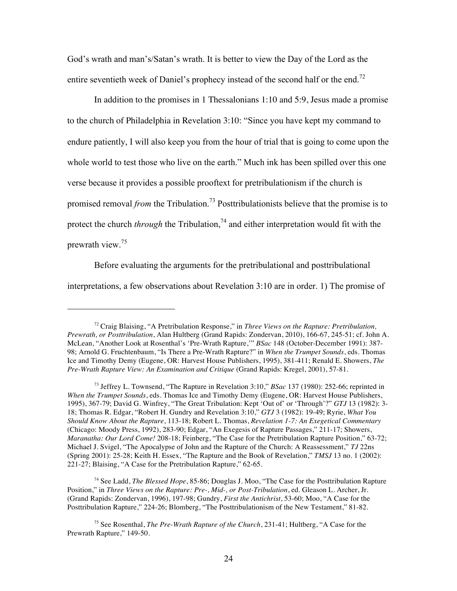God's wrath and man's/Satan's wrath. It is better to view the Day of the Lord as the entire seventieth week of Daniel's prophecy instead of the second half or the end.<sup>72</sup>

In addition to the promises in 1 Thessalonians 1:10 and 5:9, Jesus made a promise to the church of Philadelphia in Revelation 3:10: "Since you have kept my command to endure patiently, I will also keep you from the hour of trial that is going to come upon the whole world to test those who live on the earth." Much ink has been spilled over this one verse because it provides a possible prooftext for pretribulationism if the church is promised removal *from* the Tribulation.<sup>73</sup> Posttribulationists believe that the promise is to protect the church *through* the Tribulation,<sup>74</sup> and either interpretation would fit with the prewrath view.<sup>75</sup>

Before evaluating the arguments for the pretribulational and posttribulational interpretations, a few observations about Revelation 3:10 are in order. 1) The promise of

!!!!!!!!!!!!!!!!!!!!!!!!!!!!!!!!!!!!!!!!!!!!!!!!!!!!!!!

74 See Ladd, *The Blessed Hope*, 85-86; Douglas J. Moo, "The Case for the Posttribulation Rapture Position," in *Three Views on the Rapture: Pre-, Mid-, or Post-Tribulation*, ed. Gleason L. Archer, Jr. (Grand Rapids: Zondervan, 1996), 197-98; Gundry, *First the Antichrist*, 53-60; Moo, "A Case for the Posttribulation Rapture," 224-26; Blomberg, "The Posttribulationism of the New Testament," 81-82.

<sup>72</sup> Craig Blaising, "A Pretribulation Response," in *Three Views on the Rapture: Pretribulation, Prewrath, or Posttribulation*, Alan Hultberg (Grand Rapids: Zondervan, 2010), 166-67, 245-51; cf. John A. McLean, "Another Look at Rosenthal's 'Pre-Wrath Rapture,'" *BSac* 148 (October-December 1991): 387- 98; Arnold G. Fruchtenbaum, "Is There a Pre-Wrath Rapture?" in *When the Trumpet Sounds*, eds. Thomas Ice and Timothy Demy (Eugene, OR: Harvest House Publishers, 1995), 381-411; Renald E. Showers, *The Pre-Wrath Rapture View: An Examination and Critique* (Grand Rapids: Kregel, 2001), 57-81.

<sup>73</sup> Jeffrey L. Townsend, "The Rapture in Revelation 3:10," *BSac* 137 (1980): 252-66; reprinted in *When the Trumpet Sounds*, eds. Thomas Ice and Timothy Demy (Eugene, OR: Harvest House Publishers, 1995), 367-79; David G. Winfrey, "The Great Tribulation: Kept 'Out of' or 'Through'?" *GTJ* 13 (1982): 3- 18; Thomas R. Edgar, "Robert H. Gundry and Revelation 3:10," *GTJ* 3 (1982): 19-49; Ryrie, *What You Should Know About the Rapture*, 113-18; Robert L. Thomas, *Revelation 1-7: An Exegetical Commentary* (Chicago: Moody Press, 1992), 283-90; Edgar, "An Exegesis of Rapture Passages," 211-17; Showers, *Maranatha: Our Lord Come!* 208-18; Feinberg, "The Case for the Pretribulation Rapture Position," 63-72; Michael J. Svigel, "The Apocalypse of John and the Rapture of the Church: A Reassessment," *TJ* 22ns (Spring 2001): 25-28; Keith H. Essex, "The Rapture and the Book of Revelation," *TMSJ* 13 no. 1 (2002): 221-27; Blaising, "A Case for the Pretribulation Rapture," 62-65.

<sup>75</sup> See Rosenthal, *The Pre-Wrath Rapture of the Church*, 231-41; Hultberg, "A Case for the Prewrath Rapture," 149-50.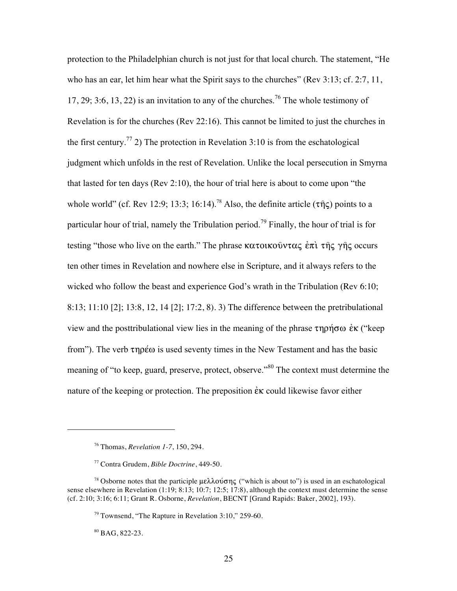protection to the Philadelphian church is not just for that local church. The statement, "He who has an ear, let him hear what the Spirit says to the churches" (Rev 3:13; cf. 2:7, 11, 17, 29; 3:6, 13, 22) is an invitation to any of the churches.<sup>76</sup> The whole testimony of Revelation is for the churches (Rev 22:16). This cannot be limited to just the churches in the first century.<sup>77</sup> 2) The protection in Revelation 3:10 is from the eschatological judgment which unfolds in the rest of Revelation. Unlike the local persecution in Smyrna that lasted for ten days (Rev 2:10), the hour of trial here is about to come upon "the whole world" (cf. Rev 12:9; 13:3; 16:14).<sup>78</sup> Also, the definite article ( $\tau \hat{\eta}$ ς) points to a particular hour of trial, namely the Tribulation period.<sup>79</sup> Finally, the hour of trial is for testing "those who live on the earth." The phrase  $\kappa \alpha \tau \omega \kappa \omega \hat{v} \alpha \zeta \hat{z} \pi \hat{i} \tau \hat{\eta} \zeta$   $\gamma \hat{\eta} \zeta$  occurs ten other times in Revelation and nowhere else in Scripture, and it always refers to the wicked who follow the beast and experience God's wrath in the Tribulation (Rev 6:10; 8:13; 11:10 [2]; 13:8, 12, 14 [2]; 17:2, 8). 3) The difference between the pretribulational view and the posttribulational view lies in the meaning of the phrase  $\tau \eta \rho \eta \sigma \omega \, \dot{\epsilon} \kappa$  ("keep from"). The verb  $\tau$ npέ $\omega$  is used seventy times in the New Testament and has the basic meaning of "to keep, guard, preserve, protect, observe."<sup>80</sup> The context must determine the nature of the keeping or protection. The preposition  $\dot{\epsilon}$  could likewise favor either

80 BAG, 822-23.

<sup>76</sup> Thomas, *Revelation 1-7*, 150, 294.

<sup>77</sup> Contra Grudem, *Bible Doctrine*, 449-50.

<sup>&</sup>lt;sup>78</sup> Osborne notes that the participle  $\mu \in \lambda \lambda$  over ("which is about to") is used in an eschatological sense elsewhere in Revelation (1:19; 8:13; 10:7; 12:5; 17:8), although the context must determine the sense (cf. 2:10; 3:16; 6:11; Grant R. Osborne, *Revelation*, BECNT [Grand Rapids: Baker, 2002], 193).

<sup>79</sup> Townsend, "The Rapture in Revelation 3:10," 259-60.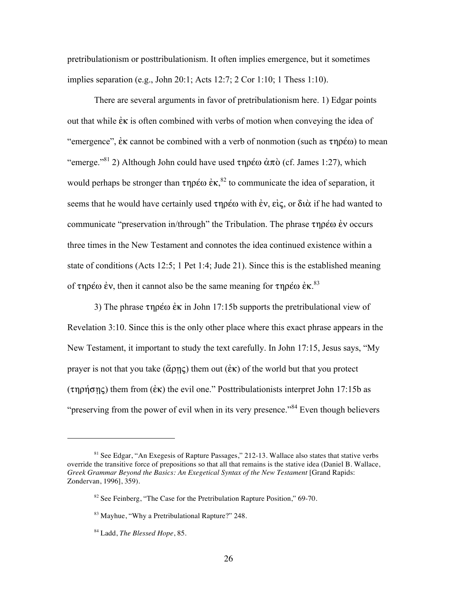pretribulationism or posttribulationism. It often implies emergence, but it sometimes implies separation (e.g., John 20:1; Acts 12:7; 2 Cor 1:10; 1 Thess 1:10).

There are several arguments in favor of pretribulationism here. 1) Edgar points out that while  $\dot{\epsilon}$  is often combined with verbs of motion when conveying the idea of "emergence",  $\dot{\epsilon}$  annot be combined with a verb of nonmotion (such as  $\tau \eta \rho \acute{\epsilon} \omega$ ) to mean "emerge."<sup>81</sup> 2) Although John could have used  $\tau$ noέω  $\dot{\alpha}\pi\dot{\alpha}$  (cf. James 1:27), which would perhaps be stronger than  $\tau \eta \rho \acute{\epsilon} \omega \grave{\epsilon} \kappa$ ,  $^{82}$  to communicate the idea of separation, it seems that he would have certainly used  $\tau \eta \rho \varepsilon \omega$  with  $\varepsilon \nu$ ,  $\varepsilon \varepsilon \zeta$ , or  $\delta \nu \alpha$  if he had wanted to communicate "preservation in/through" the Tribulation. The phrase  $\tau \eta \rho \epsilon \omega \dot{\epsilon} v$  occurs three times in the New Testament and connotes the idea continued existence within a state of conditions (Acts 12:5; 1 Pet 1:4; Jude 21). Since this is the established meaning of  $\tau$ ηρέω ἐν, then it cannot also be the same meaning for  $\tau$ ηρέω ἐκ.<sup>83</sup>

3) The phrase  $\tau \eta \rho \epsilon \omega \dot{\epsilon} \kappa$  in John 17:15b supports the pretribulational view of Revelation 3:10. Since this is the only other place where this exact phrase appears in the New Testament, it important to study the text carefully. In John 17:15, Jesus says, "My prayer is not that you take ( $\ddot{\alpha}$ ρης) them out ( $\dot{\epsilon}$ κ) of the world but that you protect  $(\tau \eta \rho \eta \sigma \eta \varsigma)$  them from ( $\epsilon \kappa$ ) the evil one." Posttribulationists interpret John 17:15b as "preserving from the power of evil when in its very presence."<sup>84</sup> Even though believers

<sup>81</sup> See Edgar, "An Exegesis of Rapture Passages," 212-13. Wallace also states that stative verbs override the transitive force of prepositions so that all that remains is the stative idea (Daniel B. Wallace, *Greek Grammar Beyond the Basics: An Exegetical Syntax of the New Testament* [Grand Rapids: Zondervan, 1996], 359).

 $82$  See Feinberg, "The Case for the Pretribulation Rapture Position," 69-70.

<sup>83</sup> Mayhue, "Why a Pretribulational Rapture?" 248.

<sup>84</sup> Ladd, *The Blessed Hope*, 85.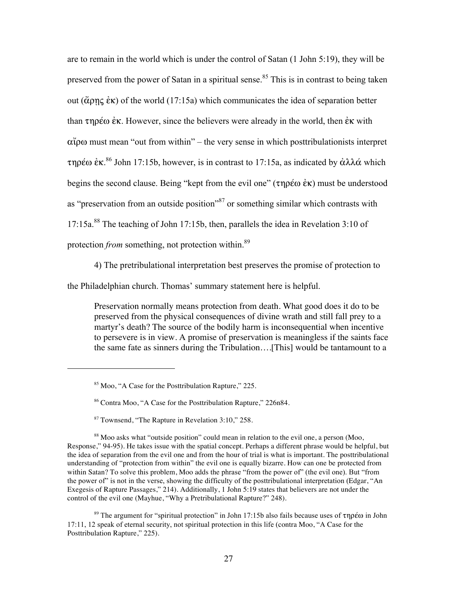are to remain in the world which is under the control of Satan (1 John 5:19), they will be preserved from the power of Satan in a spiritual sense.<sup>85</sup> This is in contrast to being taken out ( $\alpha$ <sup>e</sup>k) of the world (17:15a) which communicates the idea of separation better than  $\tau \eta \rho \varepsilon \omega \varepsilon \kappa$ . However, since the believers were already in the world, then  $\varepsilon \kappa$  with  $\alpha\tilde{\mu}$  must mean "out from within" – the very sense in which posttribulationists interpret τηρέω ἐκ.<sup>86</sup> John 17:15b, however, is in contrast to 17:15a, as indicated by ἀλλά which begins the second clause. Being "kept from the evil one" ( $\tau \eta \rho \epsilon \omega \dot{\epsilon} \kappa$ ) must be understood as "preservation from an outside position"87 or something similar which contrasts with 17:15a.88 The teaching of John 17:15b, then, parallels the idea in Revelation 3:10 of protection *from* something, not protection within.<sup>89</sup>

4) The pretribulational interpretation best preserves the promise of protection to

the Philadelphian church. Thomas' summary statement here is helpful.

Preservation normally means protection from death. What good does it do to be preserved from the physical consequences of divine wrath and still fall prey to a martyr's death? The source of the bodily harm is inconsequential when incentive to persevere is in view. A promise of preservation is meaningless if the saints face the same fate as sinners during the Tribulation….[This] would be tantamount to a

!!!!!!!!!!!!!!!!!!!!!!!!!!!!!!!!!!!!!!!!!!!!!!!!!!!!!!!

<sup>89</sup> The argument for "spiritual protection" in John 17:15b also fails because uses of  $\tau$ npé $\omega$  in John 17:11, 12 speak of eternal security, not spiritual protection in this life (contra Moo, "A Case for the Posttribulation Rapture," 225).

<sup>85</sup> Moo, "A Case for the Posttribulation Rapture," 225.

<sup>86</sup> Contra Moo, "A Case for the Posttribulation Rapture," 226n84.

<sup>87</sup> Townsend, "The Rapture in Revelation 3:10," 258.

<sup>88</sup> Moo asks what "outside position" could mean in relation to the evil one, a person (Moo, Response," 94-95). He takes issue with the spatial concept. Perhaps a different phrase would be helpful, but the idea of separation from the evil one and from the hour of trial is what is important. The posttribulational understanding of "protection from within" the evil one is equally bizarre. How can one be protected from within Satan? To solve this problem, Moo adds the phrase "from the power of" (the evil one). But "from the power of" is not in the verse, showing the difficulty of the posttribulational interpretation (Edgar, "An Exegesis of Rapture Passages," 214). Additionally, 1 John 5:19 states that believers are not under the control of the evil one (Mayhue, "Why a Pretribulational Rapture?" 248).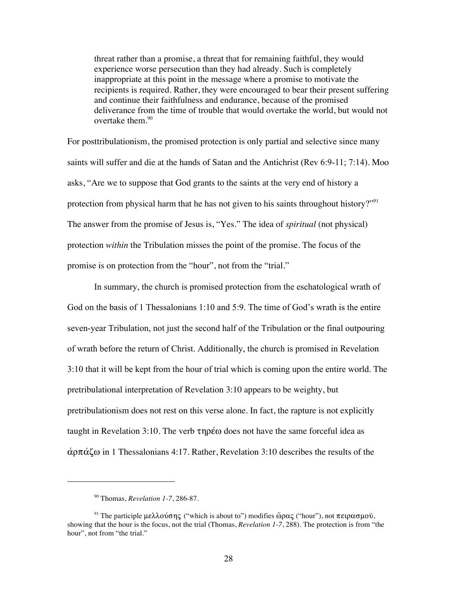threat rather than a promise, a threat that for remaining faithful, they would experience worse persecution than they had already. Such is completely inappropriate at this point in the message where a promise to motivate the recipients is required. Rather, they were encouraged to bear their present suffering and continue their faithfulness and endurance, because of the promised deliverance from the time of trouble that would overtake the world, but would not overtake them. $90$ 

For posttribulationism, the promised protection is only partial and selective since many saints will suffer and die at the hands of Satan and the Antichrist (Rev 6:9-11; 7:14). Moo asks, "Are we to suppose that God grants to the saints at the very end of history a protection from physical harm that he has not given to his saints throughout history?"<sup>91</sup> The answer from the promise of Jesus is, "Yes." The idea of *spiritual* (not physical) protection *within* the Tribulation misses the point of the promise. The focus of the promise is on protection from the "hour", not from the "trial."

In summary, the church is promised protection from the eschatological wrath of God on the basis of 1 Thessalonians 1:10 and 5:9. The time of God's wrath is the entire seven-year Tribulation, not just the second half of the Tribulation or the final outpouring of wrath before the return of Christ. Additionally, the church is promised in Revelation 3:10 that it will be kept from the hour of trial which is coming upon the entire world. The pretribulational interpretation of Revelation 3:10 appears to be weighty, but pretribulationism does not rest on this verse alone. In fact, the rapture is not explicitly taught in Revelation 3:10. The verb  $\tau \eta \rho \not\in \omega$  does not have the same forceful idea as  $\dot{\alpha}$  $\rho \pi \dot{\alpha} \zeta \omega$  in 1 Thessalonians 4:17. Rather, Revelation 3:10 describes the results of the

<sup>90</sup> Thomas, *Revelation 1-7*, 286-87.

<sup>&</sup>lt;sup>91</sup> The participle μελλούσης ("which is about to") modifies ὥρας ("hour"), not πειρασμού, showing that the hour is the focus, not the trial (Thomas, *Revelation 1-7*, 288). The protection is from "the hour", not from "the trial."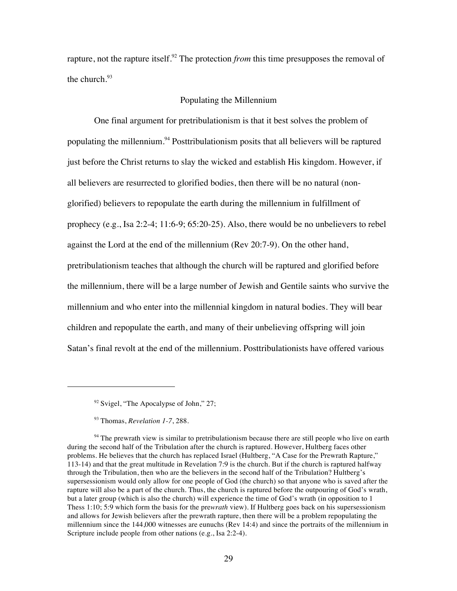rapture, not the rapture itself.<sup>92</sup> The protection *from* this time presupposes the removal of the church. $93$ 

### Populating the Millennium

One final argument for pretribulationism is that it best solves the problem of populating the millennium.<sup>94</sup> Posttribulationism posits that all believers will be raptured just before the Christ returns to slay the wicked and establish His kingdom. However, if all believers are resurrected to glorified bodies, then there will be no natural (nonglorified) believers to repopulate the earth during the millennium in fulfillment of prophecy (e.g., Isa 2:2-4; 11:6-9; 65:20-25). Also, there would be no unbelievers to rebel against the Lord at the end of the millennium (Rev 20:7-9). On the other hand, pretribulationism teaches that although the church will be raptured and glorified before the millennium, there will be a large number of Jewish and Gentile saints who survive the millennium and who enter into the millennial kingdom in natural bodies. They will bear children and repopulate the earth, and many of their unbelieving offspring will join Satan's final revolt at the end of the millennium. Posttribulationists have offered various

 $92$  Svigel, "The Apocalypse of John," 27;

<sup>93</sup> Thomas, *Revelation 1-7*, 288.

<sup>&</sup>lt;sup>94</sup> The prewrath view is similar to pretribulationism because there are still people who live on earth during the second half of the Tribulation after the church is raptured. However, Hultberg faces other problems. He believes that the church has replaced Israel (Hultberg, "A Case for the Prewrath Rapture," 113-14) and that the great multitude in Revelation 7:9 is the church. But if the church is raptured halfway through the Tribulation, then who are the believers in the second half of the Tribulation? Hultberg's supersessionism would only allow for one people of God (the church) so that anyone who is saved after the rapture will also be a part of the church. Thus, the church is raptured before the outpouring of God's wrath, but a later group (which is also the church) will experience the time of God's wrath (in opposition to 1 Thess 1:10; 5:9 which form the basis for the pre*wrath* view). If Hultberg goes back on his supersessionism and allows for Jewish believers after the prewrath rapture, then there will be a problem repopulating the millennium since the 144,000 witnesses are eunuchs (Rev 14:4) and since the portraits of the millennium in Scripture include people from other nations (e.g., Isa 2:2-4).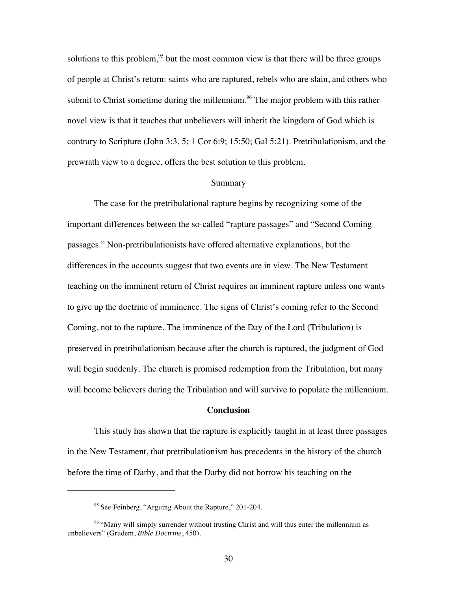solutions to this problem,  $95$  but the most common view is that there will be three groups of people at Christ's return: saints who are raptured, rebels who are slain, and others who submit to Christ sometime during the millennium.<sup>96</sup> The major problem with this rather novel view is that it teaches that unbelievers will inherit the kingdom of God which is contrary to Scripture (John 3:3, 5; 1 Cor 6:9; 15:50; Gal 5:21). Pretribulationism, and the prewrath view to a degree, offers the best solution to this problem.

#### Summary

The case for the pretribulational rapture begins by recognizing some of the important differences between the so-called "rapture passages" and "Second Coming passages." Non-pretribulationists have offered alternative explanations, but the differences in the accounts suggest that two events are in view. The New Testament teaching on the imminent return of Christ requires an imminent rapture unless one wants to give up the doctrine of imminence. The signs of Christ's coming refer to the Second Coming, not to the rapture. The imminence of the Day of the Lord (Tribulation) is preserved in pretribulationism because after the church is raptured, the judgment of God will begin suddenly. The church is promised redemption from the Tribulation, but many will become believers during the Tribulation and will survive to populate the millennium.

### **Conclusion**

This study has shown that the rapture is explicitly taught in at least three passages in the New Testament, that pretribulationism has precedents in the history of the church before the time of Darby, and that the Darby did not borrow his teaching on the

<sup>&</sup>lt;sup>95</sup> See Feinberg, "Arguing About the Rapture," 201-204.

<sup>&</sup>lt;sup>96</sup> "Many will simply surrender without trusting Christ and will thus enter the millennium as unbelievers" (Grudem, *Bible Doctrine*, 450).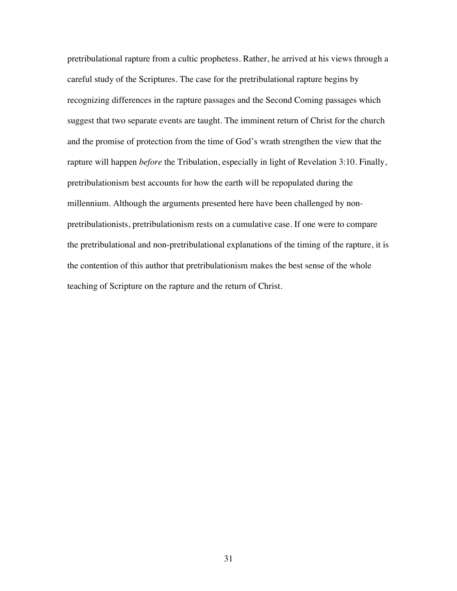pretribulational rapture from a cultic prophetess. Rather, he arrived at his views through a careful study of the Scriptures. The case for the pretribulational rapture begins by recognizing differences in the rapture passages and the Second Coming passages which suggest that two separate events are taught. The imminent return of Christ for the church and the promise of protection from the time of God's wrath strengthen the view that the rapture will happen *before* the Tribulation, especially in light of Revelation 3:10. Finally, pretribulationism best accounts for how the earth will be repopulated during the millennium. Although the arguments presented here have been challenged by nonpretribulationists, pretribulationism rests on a cumulative case. If one were to compare the pretribulational and non-pretribulational explanations of the timing of the rapture, it is the contention of this author that pretribulationism makes the best sense of the whole teaching of Scripture on the rapture and the return of Christ.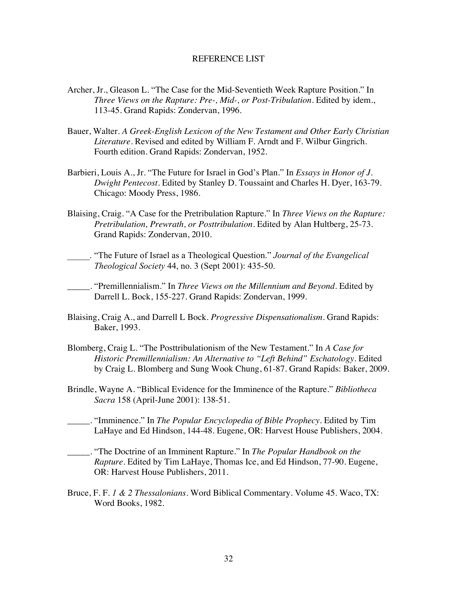### REFERENCE LIST

- Archer, Jr., Gleason L. "The Case for the Mid-Seventieth Week Rapture Position." In *Three Views on the Rapture: Pre-, Mid-, or Post-Tribulation*. Edited by idem., 113-45. Grand Rapids: Zondervan, 1996.
- Bauer, Walter. *A Greek-English Lexicon of the New Testament and Other Early Christian Literature*. Revised and edited by William F. Arndt and F. Wilbur Gingrich. Fourth edition. Grand Rapids: Zondervan, 1952.
- Barbieri, Louis A., Jr. "The Future for Israel in God's Plan." In *Essays in Honor of J. Dwight Pentecost*. Edited by Stanley D. Toussaint and Charles H. Dyer, 163-79. Chicago: Moody Press, 1986.
- Blaising, Craig. "A Case for the Pretribulation Rapture." In *Three Views on the Rapture: Pretribulation, Prewrath, or Posttribulation*. Edited by Alan Hultberg, 25-73. Grand Rapids: Zondervan, 2010.
- \_\_\_\_\_. "The Future of Israel as a Theological Question." *Journal of the Evangelical Theological Society* 44, no. 3 (Sept 2001): 435-50.
- \_\_\_\_\_. "Premillennialism." In *Three Views on the Millennium and Beyond*. Edited by Darrell L. Bock, 155-227. Grand Rapids: Zondervan, 1999.
- Blaising, Craig A., and Darrell L Bock. *Progressive Dispensationalism*. Grand Rapids: Baker, 1993.
- Blomberg, Craig L. "The Posttribulationism of the New Testament." In *A Case for Historic Premillennialism: An Alternative to "Left Behind" Eschatology*. Edited by Craig L. Blomberg and Sung Wook Chung, 61-87. Grand Rapids: Baker, 2009.
- Brindle, Wayne A. "Biblical Evidence for the Imminence of the Rapture." *Bibliotheca Sacra* 158 (April-June 2001): 138-51.
- \_\_\_\_\_. "Imminence." In *The Popular Encyclopedia of Bible Prophecy*. Edited by Tim LaHaye and Ed Hindson, 144-48. Eugene, OR: Harvest House Publishers, 2004.
- \_\_\_\_\_. "The Doctrine of an Imminent Rapture." In *The Popular Handbook on the Rapture*. Edited by Tim LaHaye, Thomas Ice, and Ed Hindson, 77-90. Eugene, OR: Harvest House Publishers, 2011.
- Bruce, F. F. *1 & 2 Thessalonians*. Word Biblical Commentary. Volume 45. Waco, TX: Word Books, 1982.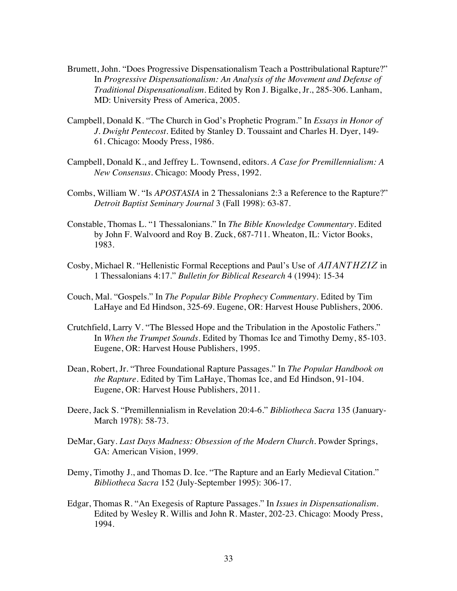- Brumett, John. "Does Progressive Dispensationalism Teach a Posttribulational Rapture?" In *Progressive Dispensationalism: An Analysis of the Movement and Defense of Traditional Dispensationalism*. Edited by Ron J. Bigalke, Jr., 285-306. Lanham, MD: University Press of America, 2005.
- Campbell, Donald K. "The Church in God's Prophetic Program." In *Essays in Honor of J. Dwight Pentecost*. Edited by Stanley D. Toussaint and Charles H. Dyer, 149- 61. Chicago: Moody Press, 1986.
- Campbell, Donald K., and Jeffrey L. Townsend, editors. *A Case for Premillennialism: A New Consensus*. Chicago: Moody Press, 1992.
- Combs, William W. "Is *APOSTASIA* in 2 Thessalonians 2:3 a Reference to the Rapture?" *Detroit Baptist Seminary Journal* 3 (Fall 1998): 63-87.
- Constable, Thomas L. "1 Thessalonians." In *The Bible Knowledge Commentary*. Edited by John F. Walvoord and Roy B. Zuck, 687-711. Wheaton, IL: Victor Books, 1983.
- Cosby, Michael R. "Hellenistic Formal Receptions and Paul's Use of *APANTHZIZ* in 1 Thessalonians 4:17." *Bulletin for Biblical Research* 4 (1994): 15-34
- Couch, Mal. "Gospels." In *The Popular Bible Prophecy Commentary*. Edited by Tim LaHaye and Ed Hindson, 325-69. Eugene, OR: Harvest House Publishers, 2006.
- Crutchfield, Larry V. "The Blessed Hope and the Tribulation in the Apostolic Fathers." In *When the Trumpet Sounds*. Edited by Thomas Ice and Timothy Demy, 85-103. Eugene, OR: Harvest House Publishers, 1995.
- Dean, Robert, Jr. "Three Foundational Rapture Passages." In *The Popular Handbook on the Rapture*. Edited by Tim LaHaye, Thomas Ice, and Ed Hindson, 91-104. Eugene, OR: Harvest House Publishers, 2011.
- Deere, Jack S. "Premillennialism in Revelation 20:4-6." *Bibliotheca Sacra* 135 (January-March 1978): 58-73.
- DeMar, Gary. *Last Days Madness: Obsession of the Modern Church.* Powder Springs, GA: American Vision, 1999.
- Demy, Timothy J., and Thomas D. Ice. "The Rapture and an Early Medieval Citation." *Bibliotheca Sacra* 152 (July-September 1995): 306-17.
- Edgar, Thomas R. "An Exegesis of Rapture Passages." In *Issues in Dispensationalism*. Edited by Wesley R. Willis and John R. Master, 202-23. Chicago: Moody Press, 1994.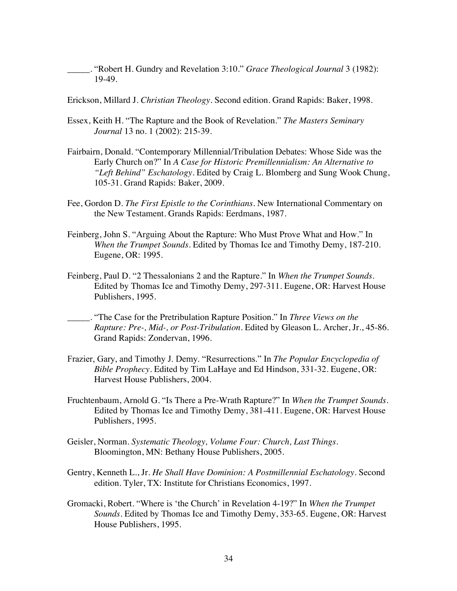\_\_\_\_\_. "Robert H. Gundry and Revelation 3:10." *Grace Theological Journal* 3 (1982): 19-49.

Erickson, Millard J. *Christian Theology*. Second edition. Grand Rapids: Baker, 1998.

- Essex, Keith H. "The Rapture and the Book of Revelation." *The Masters Seminary Journal* 13 no. 1 (2002): 215-39.
- Fairbairn, Donald. "Contemporary Millennial/Tribulation Debates: Whose Side was the Early Church on?" In *A Case for Historic Premillennialism: An Alternative to "Left Behind" Eschatology*. Edited by Craig L. Blomberg and Sung Wook Chung, 105-31. Grand Rapids: Baker, 2009.
- Fee, Gordon D. *The First Epistle to the Corinthians*. New International Commentary on the New Testament. Grands Rapids: Eerdmans, 1987.
- Feinberg, John S. "Arguing About the Rapture: Who Must Prove What and How." In *When the Trumpet Sounds*. Edited by Thomas Ice and Timothy Demy, 187-210. Eugene, OR: 1995.
- Feinberg, Paul D. "2 Thessalonians 2 and the Rapture." In *When the Trumpet Sounds*. Edited by Thomas Ice and Timothy Demy, 297-311. Eugene, OR: Harvest House Publishers, 1995.
- \_\_\_\_\_. "The Case for the Pretribulation Rapture Position." In *Three Views on the Rapture: Pre-, Mid-, or Post-Tribulation*. Edited by Gleason L. Archer, Jr., 45-86. Grand Rapids: Zondervan, 1996.
- Frazier, Gary, and Timothy J. Demy. "Resurrections." In *The Popular Encyclopedia of Bible Prophecy*. Edited by Tim LaHaye and Ed Hindson, 331-32. Eugene, OR: Harvest House Publishers, 2004.
- Fruchtenbaum, Arnold G. "Is There a Pre-Wrath Rapture?" In *When the Trumpet Sounds*. Edited by Thomas Ice and Timothy Demy, 381-411. Eugene, OR: Harvest House Publishers, 1995.
- Geisler, Norman. *Systematic Theology, Volume Four: Church, Last Things*. Bloomington, MN: Bethany House Publishers, 2005.
- Gentry, Kenneth L., Jr. *He Shall Have Dominion: A Postmillennial Eschatology*. Second edition. Tyler, TX: Institute for Christians Economics, 1997.
- Gromacki, Robert. "Where is 'the Church' in Revelation 4-19?" In *When the Trumpet Sounds*. Edited by Thomas Ice and Timothy Demy, 353-65. Eugene, OR: Harvest House Publishers, 1995.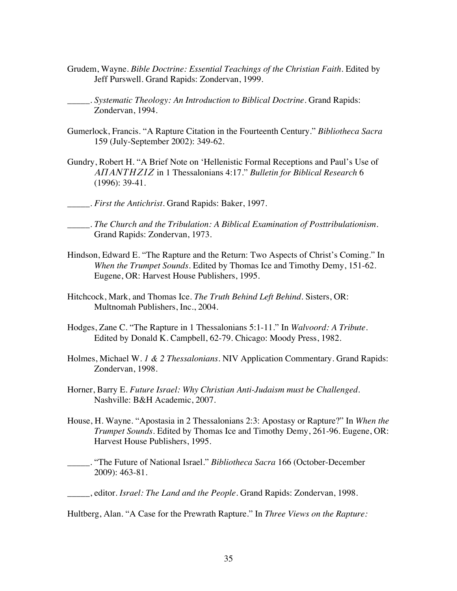- Grudem, Wayne. *Bible Doctrine: Essential Teachings of the Christian Faith*. Edited by Jeff Purswell. Grand Rapids: Zondervan, 1999.
- \_\_\_\_\_. *Systematic Theology: An Introduction to Biblical Doctrine*. Grand Rapids: Zondervan, 1994.
- Gumerlock, Francis. "A Rapture Citation in the Fourteenth Century." *Bibliotheca Sacra* 159 (July-September 2002): 349-62.
- Gundry, Robert H. "A Brief Note on 'Hellenistic Formal Receptions and Paul's Use of *APANTHZIZ* in 1 Thessalonians 4:17." *Bulletin for Biblical Research* 6 (1996): 39-41.
- \_\_\_\_\_. *First the Antichrist*. Grand Rapids: Baker, 1997.
- \_\_\_\_\_. *The Church and the Tribulation: A Biblical Examination of Posttribulationism*. Grand Rapids: Zondervan, 1973.
- Hindson, Edward E. "The Rapture and the Return: Two Aspects of Christ's Coming." In *When the Trumpet Sounds*. Edited by Thomas Ice and Timothy Demy, 151-62. Eugene, OR: Harvest House Publishers, 1995.
- Hitchcock, Mark, and Thomas Ice. *The Truth Behind Left Behind*. Sisters, OR: Multnomah Publishers, Inc., 2004.
- Hodges, Zane C. "The Rapture in 1 Thessalonians 5:1-11." In *Walvoord: A Tribute*. Edited by Donald K. Campbell, 62-79. Chicago: Moody Press, 1982.
- Holmes, Michael W. *1 & 2 Thessalonians*. NIV Application Commentary. Grand Rapids: Zondervan, 1998.
- Horner, Barry E. *Future Israel: Why Christian Anti-Judaism must be Challenged*. Nashville: B&H Academic, 2007.
- House, H. Wayne. "Apostasia in 2 Thessalonians 2:3: Apostasy or Rapture?" In *When the Trumpet Sounds*. Edited by Thomas Ice and Timothy Demy, 261-96. Eugene, OR: Harvest House Publishers, 1995.
- \_\_\_\_\_. "The Future of National Israel." *Bibliotheca Sacra* 166 (October-December 2009): 463-81.
- \_\_\_\_\_, editor. *Israel: The Land and the People.* Grand Rapids: Zondervan, 1998.

Hultberg, Alan. "A Case for the Prewrath Rapture." In *Three Views on the Rapture:*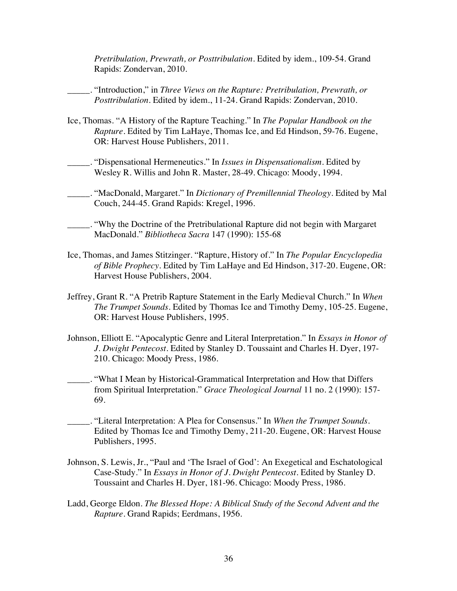*Pretribulation, Prewrath, or Posttribulation*. Edited by idem., 109-54. Grand Rapids: Zondervan, 2010.

\_\_\_\_\_. "Introduction," in *Three Views on the Rapture: Pretribulation, Prewrath, or Posttribulation*. Edited by idem., 11-24. Grand Rapids: Zondervan, 2010.

- Ice, Thomas. "A History of the Rapture Teaching." In *The Popular Handbook on the Rapture*. Edited by Tim LaHaye, Thomas Ice, and Ed Hindson, 59-76. Eugene, OR: Harvest House Publishers, 2011.
- \_\_\_\_\_. "Dispensational Hermeneutics." In *Issues in Dispensationalism*. Edited by Wesley R. Willis and John R. Master, 28-49. Chicago: Moody, 1994.
- \_\_\_\_\_. "MacDonald, Margaret." In *Dictionary of Premillennial Theology*. Edited by Mal Couch, 244-45. Grand Rapids: Kregel, 1996.
- \_\_\_\_\_. "Why the Doctrine of the Pretribulational Rapture did not begin with Margaret MacDonald." *Bibliotheca Sacra* 147 (1990): 155-68
- Ice, Thomas, and James Stitzinger. "Rapture, History of." In *The Popular Encyclopedia of Bible Prophecy*. Edited by Tim LaHaye and Ed Hindson, 317-20. Eugene, OR: Harvest House Publishers, 2004.
- Jeffrey, Grant R. "A Pretrib Rapture Statement in the Early Medieval Church." In *When The Trumpet Sounds*. Edited by Thomas Ice and Timothy Demy, 105-25. Eugene, OR: Harvest House Publishers, 1995.
- Johnson, Elliott E. "Apocalyptic Genre and Literal Interpretation." In *Essays in Honor of J. Dwight Pentecost*. Edited by Stanley D. Toussaint and Charles H. Dyer, 197- 210. Chicago: Moody Press, 1986.
- \_\_\_\_\_. "What I Mean by Historical-Grammatical Interpretation and How that Differs from Spiritual Interpretation." *Grace Theological Journal* 11 no. 2 (1990): 157- 69.
- \_\_\_\_\_. "Literal Interpretation: A Plea for Consensus." In *When the Trumpet Sounds*. Edited by Thomas Ice and Timothy Demy, 211-20. Eugene, OR: Harvest House Publishers, 1995.
- Johnson, S. Lewis, Jr., "Paul and 'The Israel of God': An Exegetical and Eschatological Case-Study." In *Essays in Honor of J. Dwight Pentecost*. Edited by Stanley D. Toussaint and Charles H. Dyer, 181-96. Chicago: Moody Press, 1986.
- Ladd, George Eldon. *The Blessed Hope: A Biblical Study of the Second Advent and the Rapture*. Grand Rapids; Eerdmans, 1956.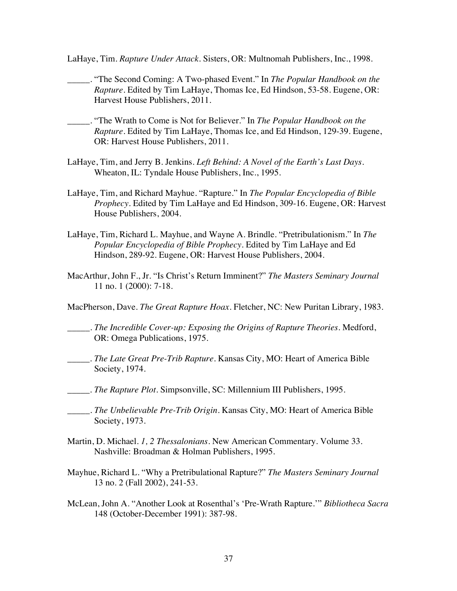LaHaye, Tim. *Rapture Under Attack*. Sisters, OR: Multnomah Publishers, Inc., 1998.

- \_\_\_\_\_. "The Second Coming: A Two-phased Event." In *The Popular Handbook on the Rapture*. Edited by Tim LaHaye, Thomas Ice, Ed Hindson, 53-58. Eugene, OR: Harvest House Publishers, 2011.
- \_\_\_\_\_. "The Wrath to Come is Not for Believer." In *The Popular Handbook on the Rapture*. Edited by Tim LaHaye, Thomas Ice, and Ed Hindson, 129-39. Eugene, OR: Harvest House Publishers, 2011.
- LaHaye, Tim, and Jerry B. Jenkins. *Left Behind: A Novel of the Earth's Last Days*. Wheaton, IL: Tyndale House Publishers, Inc., 1995.
- LaHaye, Tim, and Richard Mayhue. "Rapture." In *The Popular Encyclopedia of Bible Prophecy*. Edited by Tim LaHaye and Ed Hindson, 309-16. Eugene, OR: Harvest House Publishers, 2004.
- LaHaye, Tim, Richard L. Mayhue, and Wayne A. Brindle. "Pretribulationism." In *The Popular Encyclopedia of Bible Prophecy*. Edited by Tim LaHaye and Ed Hindson, 289-92. Eugene, OR: Harvest House Publishers, 2004.
- MacArthur, John F., Jr. "Is Christ's Return Imminent?" *The Masters Seminary Journal*  11 no. 1 (2000): 7-18.
- MacPherson, Dave. *The Great Rapture Hoax.* Fletcher, NC: New Puritan Library, 1983.
- \_\_\_\_\_. *The Incredible Cover-up: Exposing the Origins of Rapture Theories.* Medford, OR: Omega Publications, 1975.
- *\_\_\_\_\_. The Late Great Pre-Trib Rapture.* Kansas City, MO: Heart of America Bible Society, 1974.
- *\_\_\_\_\_. The Rapture Plot*. Simpsonville, SC: Millennium III Publishers, 1995.
- \_\_\_\_\_. *The Unbelievable Pre-Trib Origin.* Kansas City, MO: Heart of America Bible Society, 1973.
- Martin, D. Michael. *1, 2 Thessalonians*. New American Commentary. Volume 33. Nashville: Broadman & Holman Publishers, 1995.
- Mayhue, Richard L. "Why a Pretribulational Rapture?" *The Masters Seminary Journal* 13 no. 2 (Fall 2002), 241-53.
- McLean, John A. "Another Look at Rosenthal's 'Pre-Wrath Rapture.'" *Bibliotheca Sacra* 148 (October-December 1991): 387-98.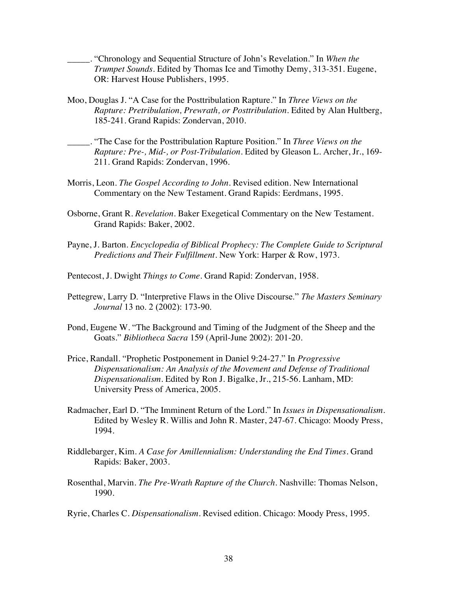\_\_\_\_\_. "Chronology and Sequential Structure of John's Revelation." In *When the Trumpet Sounds*. Edited by Thomas Ice and Timothy Demy, 313-351. Eugene, OR: Harvest House Publishers, 1995.

- Moo, Douglas J. "A Case for the Posttribulation Rapture." In *Three Views on the Rapture: Pretribulation, Prewrath, or Posttribulation*. Edited by Alan Hultberg, 185-241. Grand Rapids: Zondervan, 2010.
- \_\_\_\_\_. "The Case for the Posttribulation Rapture Position." In *Three Views on the Rapture: Pre-, Mid-, or Post-Tribulation*. Edited by Gleason L. Archer, Jr., 169- 211. Grand Rapids: Zondervan, 1996.
- Morris, Leon. *The Gospel According to John*. Revised edition. New International Commentary on the New Testament. Grand Rapids: Eerdmans, 1995.
- Osborne, Grant R. *Revelation*. Baker Exegetical Commentary on the New Testament. Grand Rapids: Baker, 2002.
- Payne, J. Barton. *Encyclopedia of Biblical Prophecy: The Complete Guide to Scriptural Predictions and Their Fulfillment*. New York: Harper & Row, 1973.
- Pentecost, J. Dwight *Things to Come*. Grand Rapid: Zondervan, 1958.
- Pettegrew, Larry D. "Interpretive Flaws in the Olive Discourse." *The Masters Seminary Journal* 13 no. 2 (2002): 173-90.
- Pond, Eugene W. "The Background and Timing of the Judgment of the Sheep and the Goats." *Bibliotheca Sacra* 159 (April-June 2002): 201-20.
- Price, Randall. "Prophetic Postponement in Daniel 9:24-27." In *Progressive Dispensationalism: An Analysis of the Movement and Defense of Traditional Dispensationalism*. Edited by Ron J. Bigalke, Jr., 215-56. Lanham, MD: University Press of America, 2005.
- Radmacher, Earl D. "The Imminent Return of the Lord." In *Issues in Dispensationalism*. Edited by Wesley R. Willis and John R. Master, 247-67. Chicago: Moody Press, 1994.
- Riddlebarger, Kim. *A Case for Amillennialism: Understanding the End Times.* Grand Rapids: Baker, 2003.
- Rosenthal, Marvin. *The Pre-Wrath Rapture of the Church*. Nashville: Thomas Nelson, 1990.

Ryrie, Charles C. *Dispensationalism*. Revised edition. Chicago: Moody Press, 1995.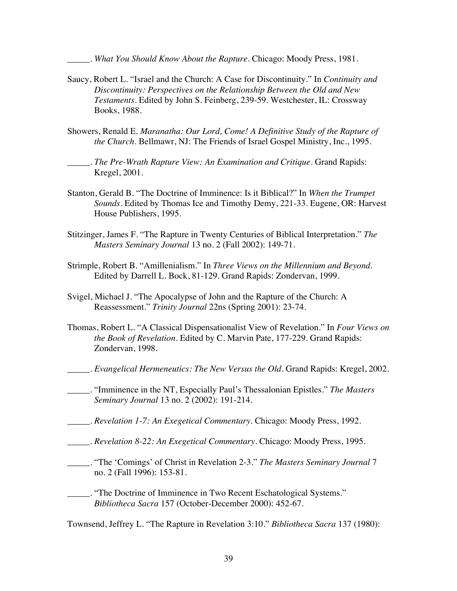\_\_\_\_\_. *What You Should Know About the Rapture.* Chicago: Moody Press, 1981.

- Saucy, Robert L. "Israel and the Church: A Case for Discontinuity." In *Continuity and Discontinuity: Perspectives on the Relationship Between the Old and New Testaments*. Edited by John S. Feinberg, 239-59. Westchester, IL: Crossway Books, 1988.
- Showers, Renald E. *Maranatha: Our Lord, Come! A Definitive Study of the Rapture of the Church.* Bellmawr, NJ: The Friends of Israel Gospel Ministry, Inc., 1995.

\_\_\_\_\_. *The Pre-Wrath Rapture View: An Examination and Critique.* Grand Rapids: Kregel, 2001.

- Stanton, Gerald B. "The Doctrine of Imminence: Is it Biblical?" In *When the Trumpet Sounds*. Edited by Thomas Ice and Timothy Demy, 221-33. Eugene, OR: Harvest House Publishers, 1995.
- Stitzinger, James F. "The Rapture in Twenty Centuries of Biblical Interpretation." *The Masters Seminary Journal* 13 no. 2 (Fall 2002): 149-71.
- Strimple, Robert B. "Amillenialism." In *Three Views on the Millennium and Beyond*. Edited by Darrell L. Bock, 81-129. Grand Rapids: Zondervan, 1999.
- Svigel, Michael J. "The Apocalypse of John and the Rapture of the Church: A Reassessment." *Trinity Journal* 22ns (Spring 2001): 23-74.
- Thomas, Robert L. "A Classical Dispensationalist View of Revelation." In *Four Views on the Book of Revelation*. Edited by C. Marvin Pate, 177-229. Grand Rapids: Zondervan, 1998.
- \_\_\_\_\_. *Evangelical Hermeneutics: The New Versus the Old.* Grand Rapids: Kregel, 2002.
- \_\_\_\_\_. "Imminence in the NT, Especially Paul's Thessalonian Epistles." *The Masters Seminary Journal* 13 no. 2 (2002): 191-214.
- \_\_\_\_\_. *Revelation 1-7: An Exegetical Commentary*. Chicago: Moody Press, 1992.
- \_\_\_\_\_. *Revelation 8-22: An Exegetical Commentary*. Chicago: Moody Press, 1995.
- \_\_\_\_\_. "The 'Comings' of Christ in Revelation 2-3." *The Masters Seminary Journal* 7 no. 2 (Fall 1996): 153-81.
- \_\_\_\_\_. "The Doctrine of Imminence in Two Recent Eschatological Systems." *Bibliotheca Sacra* 157 (October-December 2000): 452-67.

Townsend, Jeffrey L. "The Rapture in Revelation 3:10." *Bibliotheca Sacra* 137 (1980):